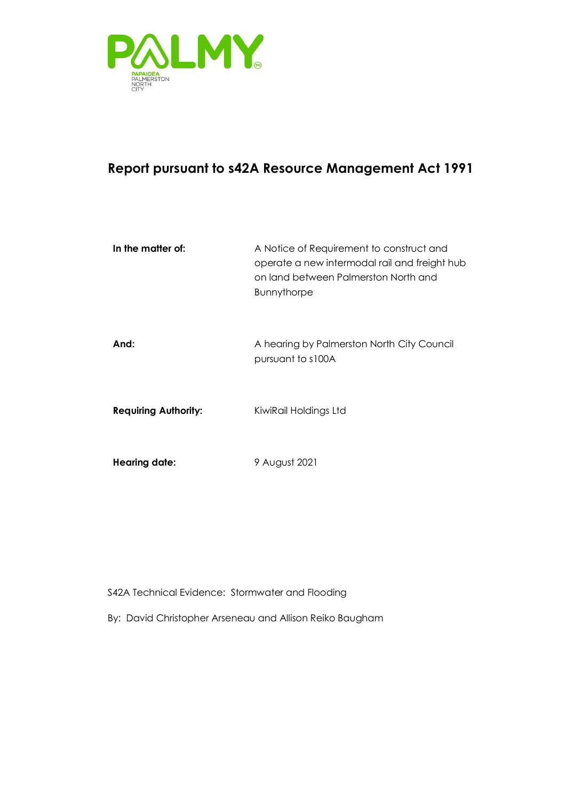

## **Report pursuant to s42A Resource Management Act 1991**

| In the matter of:           | A Notice of Requirement to construct and<br>operate a new intermodal rail and freight hub<br>on land between Palmerston North and<br><b>Bunnythorpe</b> |
|-----------------------------|---------------------------------------------------------------------------------------------------------------------------------------------------------|
| And:                        | A hearing by Palmerston North City Council<br>pursuant to s100A                                                                                         |
| <b>Requiring Authority:</b> | KiwiRail Holdings Ltd                                                                                                                                   |
| <b>Hearing date:</b>        | 9 August 2021                                                                                                                                           |

S42A Technical Evidence: Stormwater and Flooding

By: David Christopher Arseneau and Allison Reiko Baugham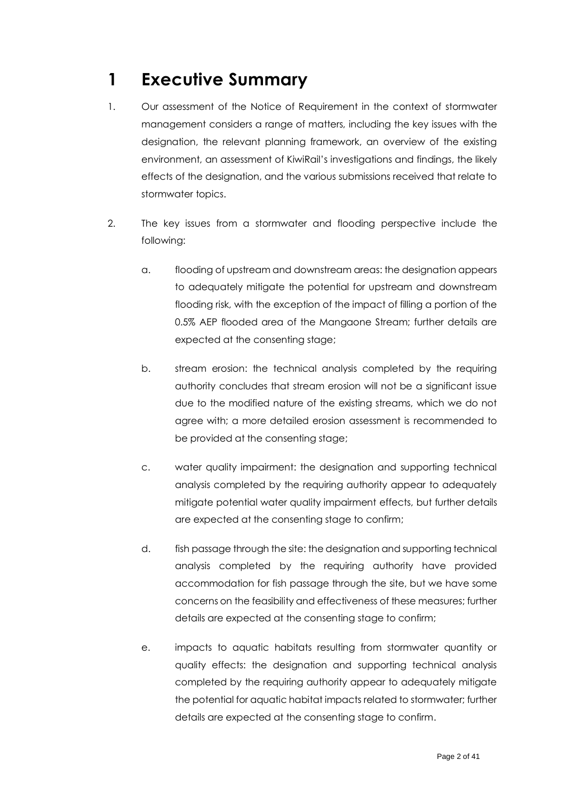# <span id="page-1-0"></span>**1 Executive Summary**

- 1. Our assessment of the Notice of Requirement in the context of stormwater management considers a range of matters, including the key issues with the designation, the relevant planning framework, an overview of the existing environment, an assessment of KiwiRail's investigations and findings, the likely effects of the designation, and the various submissions received that relate to stormwater topics.
- 2. The key issues from a stormwater and flooding perspective include the following:
	- a. flooding of upstream and downstream areas: the designation appears to adequately mitigate the potential for upstream and downstream flooding risk, with the exception of the impact of filling a portion of the 0.5% AEP flooded area of the Mangaone Stream; further details are expected at the consenting stage;
	- b. stream erosion: the technical analysis completed by the requiring authority concludes that stream erosion will not be a significant issue due to the modified nature of the existing streams, which we do not agree with; a more detailed erosion assessment is recommended to be provided at the consenting stage;
	- c. water quality impairment: the designation and supporting technical analysis completed by the requiring authority appear to adequately mitigate potential water quality impairment effects, but further details are expected at the consenting stage to confirm;
	- d. fish passage through the site: the designation and supporting technical analysis completed by the requiring authority have provided accommodation for fish passage through the site, but we have some concerns on the feasibility and effectiveness of these measures; further details are expected at the consenting stage to confirm;
	- e. impacts to aquatic habitats resulting from stormwater quantity or quality effects: the designation and supporting technical analysis completed by the requiring authority appear to adequately mitigate the potential for aquatic habitat impacts related to stormwater; further details are expected at the consenting stage to confirm.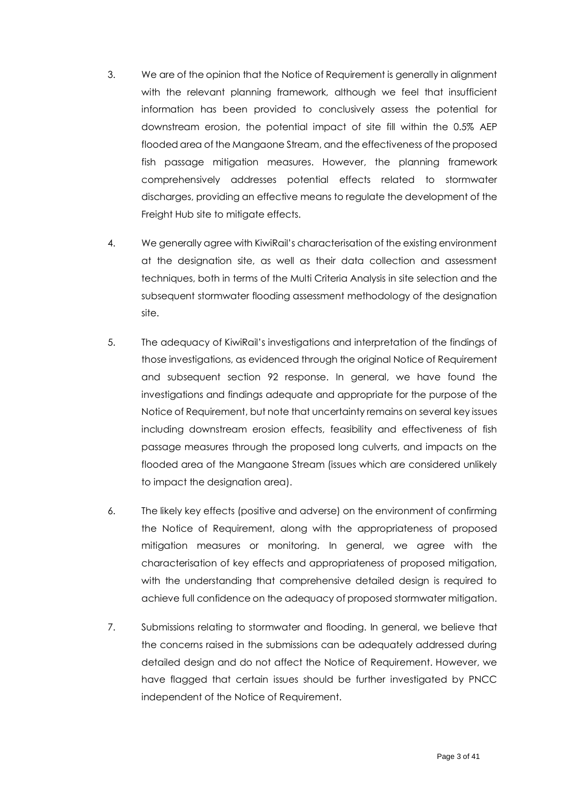- 3. We are of the opinion that the Notice of Requirement is generally in alignment with the relevant planning framework, although we feel that insufficient information has been provided to conclusively assess the potential for downstream erosion, the potential impact of site fill within the 0.5% AEP flooded area of the Mangaone Stream, and the effectiveness of the proposed fish passage mitigation measures. However, the planning framework comprehensively addresses potential effects related to stormwater discharges, providing an effective means to regulate the development of the Freight Hub site to mitigate effects.
- 4. We generally agree with KiwiRail's characterisation of the existing environment at the designation site, as well as their data collection and assessment techniques, both in terms of the Multi Criteria Analysis in site selection and the subsequent stormwater flooding assessment methodology of the designation site.
- 5. The adequacy of KiwiRail's investigations and interpretation of the findings of those investigations, as evidenced through the original Notice of Requirement and subsequent section 92 response. In general, we have found the investigations and findings adequate and appropriate for the purpose of the Notice of Requirement, but note that uncertainty remains on several key issues including downstream erosion effects, feasibility and effectiveness of fish passage measures through the proposed long culverts, and impacts on the flooded area of the Mangaone Stream (issues which are considered unlikely to impact the designation area).
- 6. The likely key effects (positive and adverse) on the environment of confirming the Notice of Requirement, along with the appropriateness of proposed mitigation measures or monitoring. In general, we agree with the characterisation of key effects and appropriateness of proposed mitigation, with the understanding that comprehensive detailed design is required to achieve full confidence on the adequacy of proposed stormwater mitigation.
- 7. Submissions relating to stormwater and flooding. In general, we believe that the concerns raised in the submissions can be adequately addressed during detailed design and do not affect the Notice of Requirement. However, we have flagged that certain issues should be further investigated by PNCC independent of the Notice of Requirement.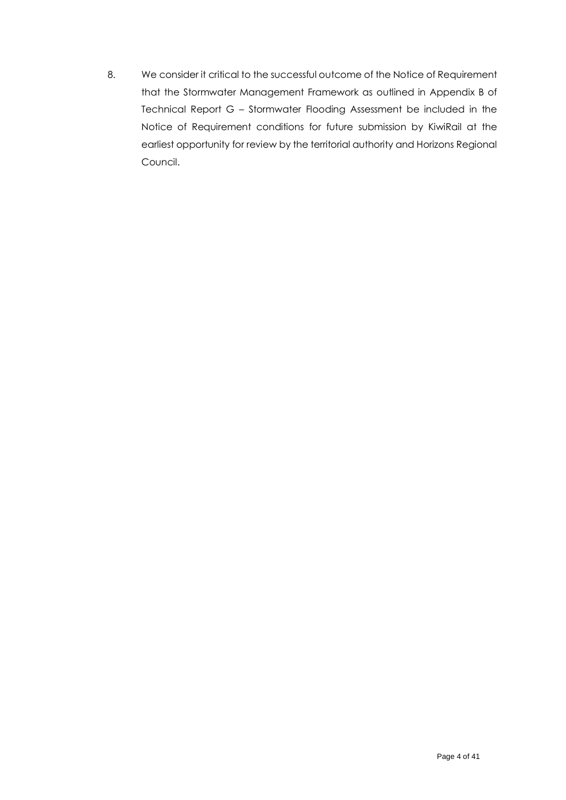8. We consider it critical to the successful outcome of the Notice of Requirement that the Stormwater Management Framework as outlined in Appendix B of Technical Report G – Stormwater Flooding Assessment be included in the Notice of Requirement conditions for future submission by KiwiRail at the earliest opportunity for review by the territorial authority and Horizons Regional Council.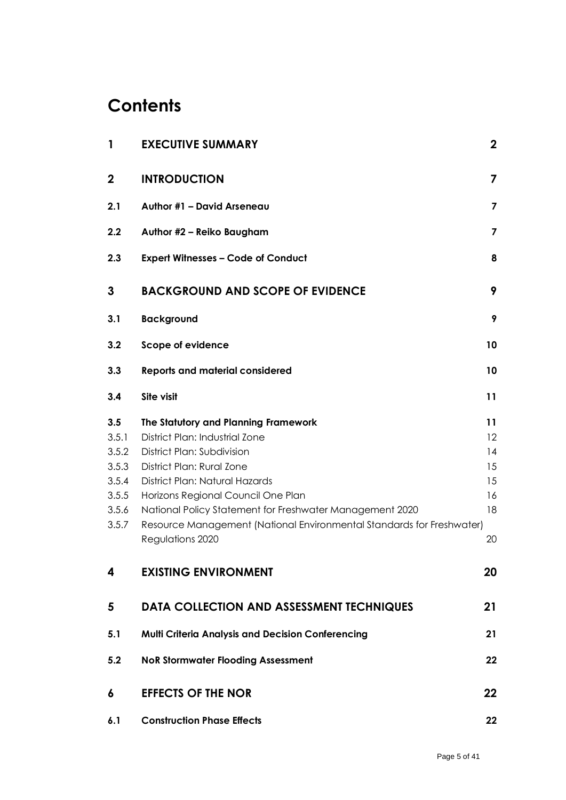# **Contents**

| $\mathbf{1}$          | <b>EXECUTIVE SUMMARY</b>                                                                             | $\mathbf 2$             |
|-----------------------|------------------------------------------------------------------------------------------------------|-------------------------|
| $\mathbf 2$           | <b>INTRODUCTION</b>                                                                                  | 7                       |
| 2.1                   | Author #1 - David Arseneau                                                                           | $\overline{\mathbf{z}}$ |
| 2.2                   | Author #2 - Reiko Baugham                                                                            | $\overline{\mathbf{z}}$ |
| 2.3                   | <b>Expert Witnesses - Code of Conduct</b>                                                            | 8                       |
| 3                     | <b>BACKGROUND AND SCOPE OF EVIDENCE</b>                                                              | 9                       |
| 3.1                   | <b>Background</b>                                                                                    | 9                       |
| 3.2                   | Scope of evidence                                                                                    | 10                      |
| 3.3                   | <b>Reports and material considered</b>                                                               | 10                      |
| 3.4                   | Site visit                                                                                           | 11                      |
| 3.5<br>3.5.1<br>3.5.2 | The Statutory and Planning Framework<br>District Plan: Industrial Zone<br>District Plan: Subdivision | 11<br>12<br>14          |
| 3.5.3<br>3.5.4        | District Plan: Rural Zone<br>District Plan: Natural Hazards                                          | 15<br>15                |
| 3.5.5                 | Horizons Regional Council One Plan                                                                   | 16                      |
| 3.5.6                 | National Policy Statement for Freshwater Management 2020                                             | 18                      |
| 3.5.7                 | Resource Management (National Environmental Standards for Freshwater)<br>Regulations 2020            | 20                      |
| 4                     | <b>EXISTING ENVIRONMENT</b>                                                                          | 20                      |
| 5                     | <b>DATA COLLECTION AND ASSESSMENT TECHNIQUES</b>                                                     | 21                      |
| 5.1                   | Multi Criteria Analysis and Decision Conferencing                                                    | 21                      |
| 5.2                   | <b>NoR Stormwater Flooding Assessment</b>                                                            | 22                      |
| 6                     | <b>EFFECTS OF THE NOR</b>                                                                            | 22                      |
| 6.1                   | <b>Construction Phase Effects</b>                                                                    | 22                      |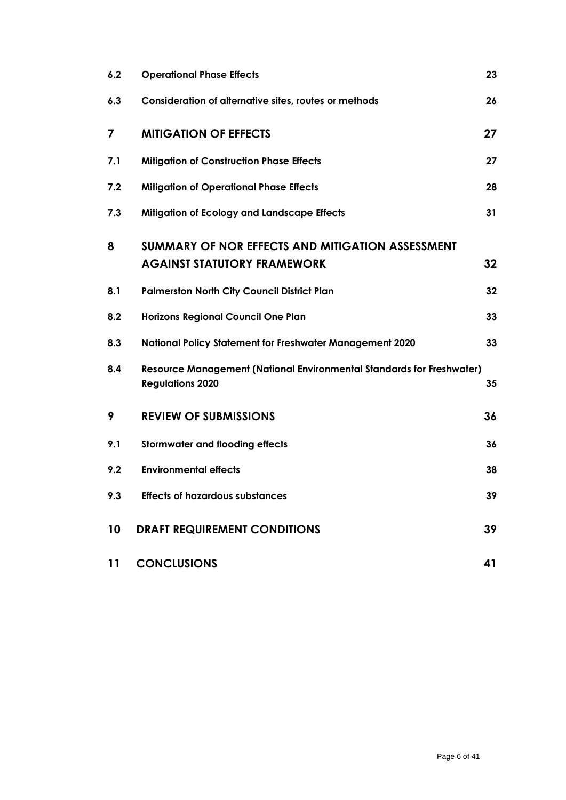| 6.2 | <b>Operational Phase Effects</b>                                                                 | 23 |
|-----|--------------------------------------------------------------------------------------------------|----|
| 6.3 | Consideration of alternative sites, routes or methods                                            | 26 |
| 7   | <b>MITIGATION OF EFFECTS</b>                                                                     | 27 |
| 7.1 | <b>Mitigation of Construction Phase Effects</b>                                                  | 27 |
| 7.2 | <b>Mitigation of Operational Phase Effects</b>                                                   | 28 |
| 7.3 | <b>Mitigation of Ecology and Landscape Effects</b>                                               | 31 |
| 8   | SUMMARY OF NOR EFFECTS AND MITIGATION ASSESSMENT<br><b>AGAINST STATUTORY FRAMEWORK</b>           | 32 |
| 8.1 | <b>Palmerston North City Council District Plan</b>                                               | 32 |
| 8.2 | <b>Horizons Regional Council One Plan</b>                                                        | 33 |
| 8.3 | <b>National Policy Statement for Freshwater Management 2020</b>                                  | 33 |
| 8.4 | Resource Management (National Environmental Standards for Freshwater)<br><b>Regulations 2020</b> | 35 |
| 9   | <b>REVIEW OF SUBMISSIONS</b>                                                                     | 36 |
| 9.1 | <b>Stormwater and flooding effects</b>                                                           | 36 |
| 9.2 | <b>Environmental effects</b>                                                                     | 38 |
| 9.3 | <b>Effects of hazardous substances</b>                                                           | 39 |
| 10  | <b>DRAFT REQUIREMENT CONDITIONS</b>                                                              | 39 |
| 11  | <b>CONCLUSIONS</b>                                                                               | 41 |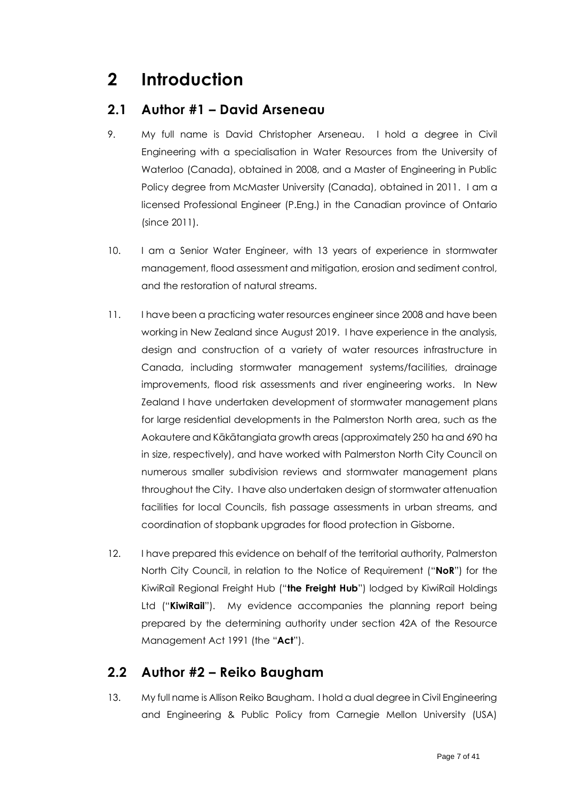## <span id="page-6-0"></span>**2 Introduction**

#### <span id="page-6-1"></span>**2.1 Author #1 – David Arseneau**

- 9. My full name is David Christopher Arseneau. I hold a degree in Civil Engineering with a specialisation in Water Resources from the University of Waterloo (Canada), obtained in 2008, and a Master of Engineering in Public Policy degree from McMaster University (Canada), obtained in 2011. I am a licensed Professional Engineer (P.Eng.) in the Canadian province of Ontario (since 2011).
- 10. I am a Senior Water Engineer, with 13 years of experience in stormwater management, flood assessment and mitigation, erosion and sediment control, and the restoration of natural streams.
- 11. I have been a practicing water resources engineer since 2008 and have been working in New Zealand since August 2019. I have experience in the analysis, design and construction of a variety of water resources infrastructure in Canada, including stormwater management systems/facilities, drainage improvements, flood risk assessments and river engineering works. In New Zealand I have undertaken development of stormwater management plans for large residential developments in the Palmerston North area, such as the Aokautere and Kākātangiata growth areas (approximately 250 ha and 690 ha in size, respectively), and have worked with Palmerston North City Council on numerous smaller subdivision reviews and stormwater management plans throughout the City. I have also undertaken design of stormwater attenuation facilities for local Councils, fish passage assessments in urban streams, and coordination of stopbank upgrades for flood protection in Gisborne.
- 12. I have prepared this evidence on behalf of the territorial authority, Palmerston North City Council, in relation to the Notice of Requirement ("**NoR**") for the KiwiRail Regional Freight Hub ("**the Freight Hub**") lodged by KiwiRail Holdings Ltd ("**KiwiRail**"). My evidence accompanies the planning report being prepared by the determining authority under section 42A of the Resource Management Act 1991 (the "**Act**").

#### <span id="page-6-2"></span>**2.2 Author #2 – Reiko Baugham**

13. My full name is Allison Reiko Baugham. I hold a dual degree in Civil Engineering and Engineering & Public Policy from Carnegie Mellon University (USA)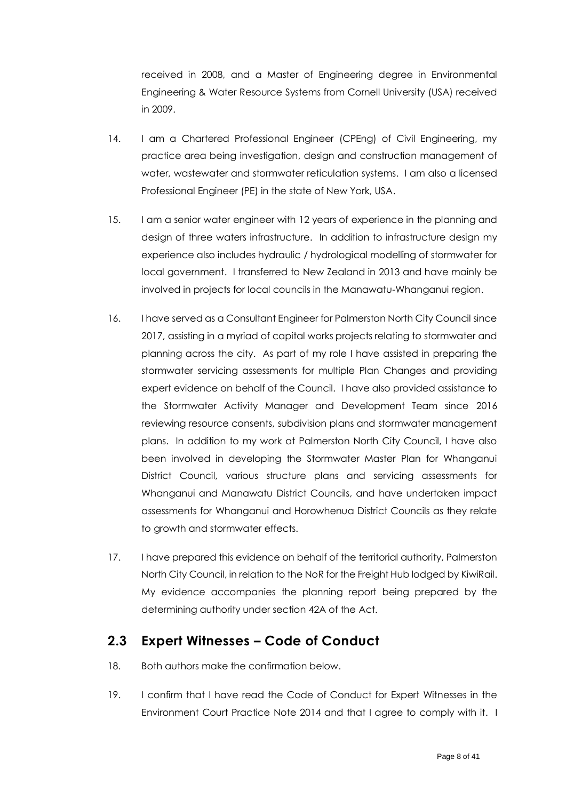received in 2008, and a Master of Engineering degree in Environmental Engineering & Water Resource Systems from Cornell University (USA) received in 2009.

- 14. I am a Chartered Professional Engineer (CPEng) of Civil Engineering, my practice area being investigation, design and construction management of water, wastewater and stormwater reticulation systems. I am also a licensed Professional Engineer (PE) in the state of New York, USA.
- 15. I am a senior water engineer with 12 years of experience in the planning and design of three waters infrastructure. In addition to infrastructure design my experience also includes hydraulic / hydrological modelling of stormwater for local government. I transferred to New Zealand in 2013 and have mainly be involved in projects for local councils in the Manawatu-Whanganui region.
- 16. I have served as a Consultant Engineer for Palmerston North City Council since 2017, assisting in a myriad of capital works projects relating to stormwater and planning across the city. As part of my role I have assisted in preparing the stormwater servicing assessments for multiple Plan Changes and providing expert evidence on behalf of the Council. I have also provided assistance to the Stormwater Activity Manager and Development Team since 2016 reviewing resource consents, subdivision plans and stormwater management plans. In addition to my work at Palmerston North City Council, I have also been involved in developing the Stormwater Master Plan for Whanganui District Council, various structure plans and servicing assessments for Whanganui and Manawatu District Councils, and have undertaken impact assessments for Whanganui and Horowhenua District Councils as they relate to growth and stormwater effects.
- 17. I have prepared this evidence on behalf of the territorial authority, Palmerston North City Council, in relation to the NoR for the Freight Hub lodged by KiwiRail. My evidence accompanies the planning report being prepared by the determining authority under section 42A of the Act.

#### <span id="page-7-0"></span>**2.3 Expert Witnesses – Code of Conduct**

- 18. Both authors make the confirmation below.
- 19. I confirm that I have read the Code of Conduct for Expert Witnesses in the Environment Court Practice Note 2014 and that I agree to comply with it. I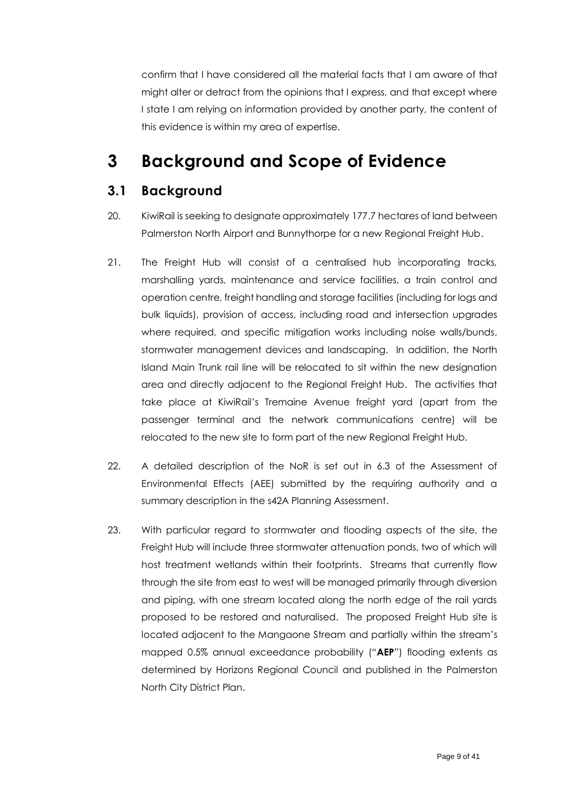confirm that I have considered all the material facts that I am aware of that might alter or detract from the opinions that I express, and that except where I state I am relying on information provided by another party, the content of this evidence is within my area of expertise.

## <span id="page-8-0"></span>**3 Background and Scope of Evidence**

#### <span id="page-8-1"></span>**3.1 Background**

- 20. KiwiRail is seeking to designate approximately 177.7 hectares of land between Palmerston North Airport and Bunnythorpe for a new Regional Freight Hub.
- 21. The Freight Hub will consist of a centralised hub incorporating tracks, marshalling yards, maintenance and service facilities, a train control and operation centre, freight handling and storage facilities (including for logs and bulk liquids), provision of access, including road and intersection upgrades where required, and specific mitigation works including noise walls/bunds, stormwater management devices and landscaping. In addition, the North Island Main Trunk rail line will be relocated to sit within the new designation area and directly adjacent to the Regional Freight Hub. The activities that take place at KiwiRail's Tremaine Avenue freight yard (apart from the passenger terminal and the network communications centre) will be relocated to the new site to form part of the new Regional Freight Hub.
- 22. A detailed description of the NoR is set out in 6.3 of the Assessment of Environmental Effects (AEE) submitted by the requiring authority and a summary description in the s42A Planning Assessment.
- 23. With particular regard to stormwater and flooding aspects of the site, the Freight Hub will include three stormwater attenuation ponds, two of which will host treatment wetlands within their footprints. Streams that currently flow through the site from east to west will be managed primarily through diversion and piping, with one stream located along the north edge of the rail yards proposed to be restored and naturalised. The proposed Freight Hub site is located adjacent to the Mangaone Stream and partially within the stream's mapped 0.5% annual exceedance probability ("**AEP**") flooding extents as determined by Horizons Regional Council and published in the Palmerston North City District Plan.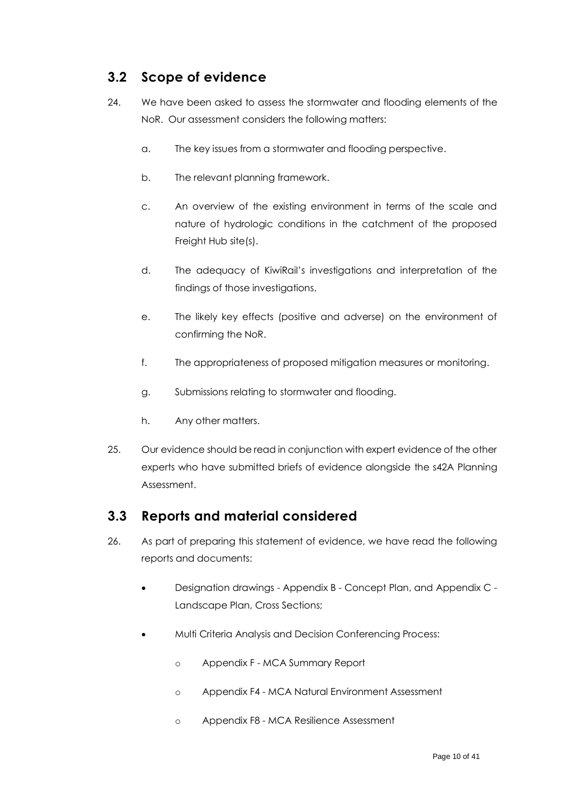### <span id="page-9-0"></span>**3.2 Scope of evidence**

- 24. We have been asked to assess the stormwater and flooding elements of the NoR. Our assessment considers the following matters:
	- a. The key issues from a stormwater and flooding perspective.
	- b. The relevant planning framework.
	- c. An overview of the existing environment in terms of the scale and nature of hydrologic conditions in the catchment of the proposed Freight Hub site(s).
	- d. The adequacy of KiwiRail's investigations and interpretation of the findings of those investigations.
	- e. The likely key effects (positive and adverse) on the environment of confirming the NoR.
	- f. The appropriateness of proposed mitigation measures or monitoring.
	- g. Submissions relating to stormwater and flooding.
	- h. Any other matters.
- 25. Our evidence should be read in conjunction with expert evidence of the other experts who have submitted briefs of evidence alongside the s42A Planning Assessment.

#### <span id="page-9-1"></span>**3.3 Reports and material considered**

- 26. As part of preparing this statement of evidence, we have read the following reports and documents:
	- Designation drawings Appendix B Concept Plan, and Appendix C Landscape Plan, Cross Sections;
	- Multi Criteria Analysis and Decision Conferencing Process:
		- o Appendix F MCA Summary Report
		- o Appendix F4 MCA Natural Environment Assessment
		- o Appendix F8 MCA Resilience Assessment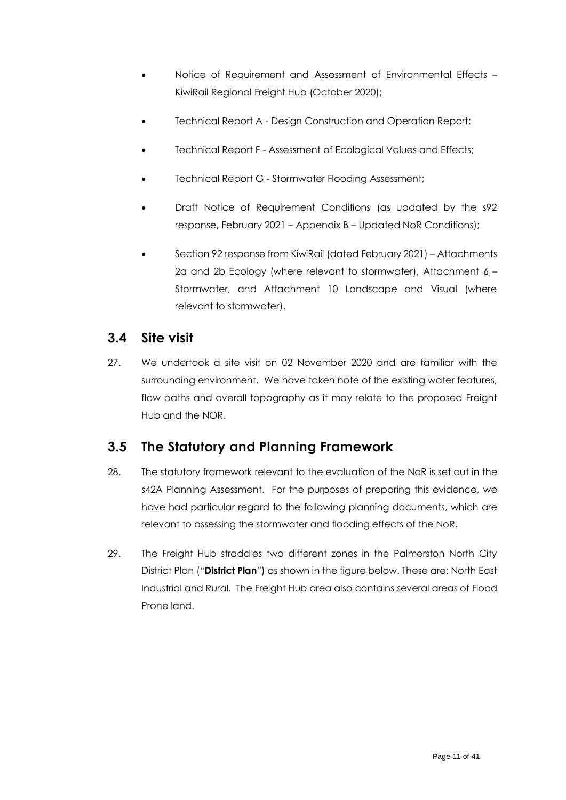- Notice of Requirement and Assessment of Environmental Effects KiwiRail Regional Freight Hub (October 2020);
- Technical Report A Design Construction and Operation Report;
- Technical Report F Assessment of Ecological Values and Effects;
- Technical Report G Stormwater Flooding Assessment;
- Draft Notice of Requirement Conditions (as updated by the s92 response, February 2021 – Appendix B – Updated NoR Conditions);
- Section 92 response from KiwiRail (dated February 2021) Attachments 2a and 2b Ecology (where relevant to stormwater), Attachment 6 – Stormwater, and Attachment 10 Landscape and Visual (where relevant to stormwater).

#### <span id="page-10-0"></span>**3.4 Site visit**

27. We undertook a site visit on 02 November 2020 and are familiar with the surrounding environment. We have taken note of the existing water features, flow paths and overall topography as it may relate to the proposed Freight Hub and the NOR.

## <span id="page-10-1"></span>**3.5 The Statutory and Planning Framework**

- 28. The statutory framework relevant to the evaluation of the NoR is set out in the s42A Planning Assessment. For the purposes of preparing this evidence, we have had particular regard to the following planning documents, which are relevant to assessing the stormwater and flooding effects of the NoR.
- 29. The Freight Hub straddles two different zones in the Palmerston North City District Plan ("**District Plan**") as shown in the figure below. These are: North East Industrial and Rural. The Freight Hub area also contains several areas of Flood Prone land.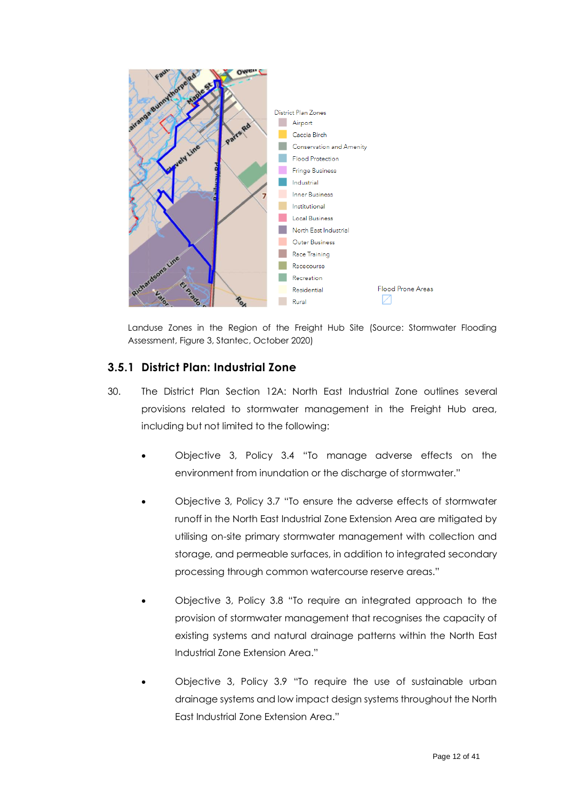

Landuse Zones in the Region of the Freight Hub Site (Source: Stormwater Flooding Assessment, Figure 3, Stantec, October 2020)

#### <span id="page-11-0"></span>**3.5.1 District Plan: Industrial Zone**

- 30. The District Plan Section 12A: North East Industrial Zone outlines several provisions related to stormwater management in the Freight Hub area, including but not limited to the following:
	- Objective 3, Policy 3.4 "To manage adverse effects on the environment from inundation or the discharge of stormwater."
	- Objective 3, Policy 3.7 "To ensure the adverse effects of stormwater runoff in the North East Industrial Zone Extension Area are mitigated by utilising on-site primary stormwater management with collection and storage, and permeable surfaces, in addition to integrated secondary processing through common watercourse reserve areas."
	- Objective 3, Policy 3.8 "To require an integrated approach to the provision of stormwater management that recognises the capacity of existing systems and natural drainage patterns within the North East Industrial Zone Extension Area."
	- Objective 3, Policy 3.9 "To require the use of sustainable urban drainage systems and low impact design systems throughout the North East Industrial Zone Extension Area."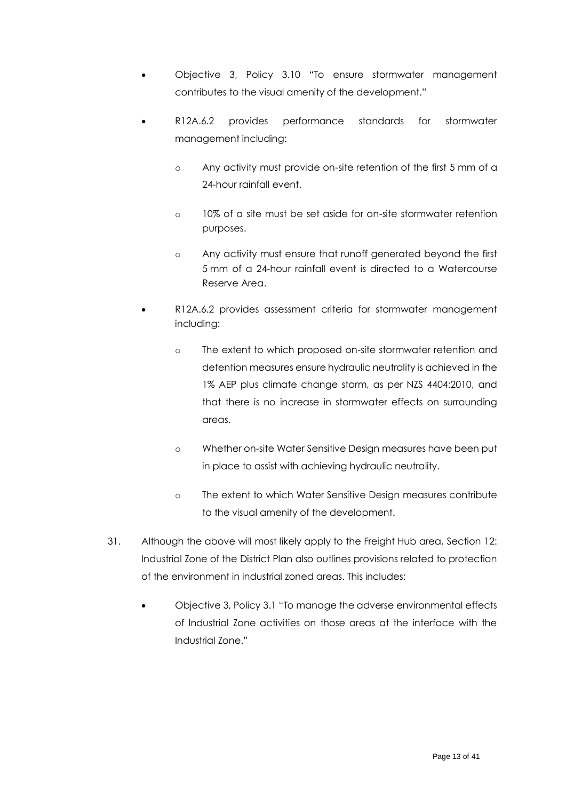- Objective 3, Policy 3.10 "To ensure stormwater management contributes to the visual amenity of the development."
- R12A.6.2 provides performance standards for stormwater management including:
	- o Any activity must provide on-site retention of the first 5 mm of a 24-hour rainfall event.
	- o 10% of a site must be set aside for on-site stormwater retention purposes.
	- o Any activity must ensure that runoff generated beyond the first 5 mm of a 24-hour rainfall event is directed to a Watercourse Reserve Area.
- R12A.6.2 provides assessment criteria for stormwater management including:
	- o The extent to which proposed on-site stormwater retention and detention measures ensure hydraulic neutrality is achieved in the 1% AEP plus climate change storm, as per NZS 4404:2010, and that there is no increase in stormwater effects on surrounding areas.
	- o Whether on-site Water Sensitive Design measures have been put in place to assist with achieving hydraulic neutrality.
	- o The extent to which Water Sensitive Design measures contribute to the visual amenity of the development.
- 31. Although the above will most likely apply to the Freight Hub area, Section 12: Industrial Zone of the District Plan also outlines provisions related to protection of the environment in industrial zoned areas. This includes:
	- Objective 3, Policy 3.1 "To manage the adverse environmental effects of Industrial Zone activities on those areas at the interface with the Industrial Zone."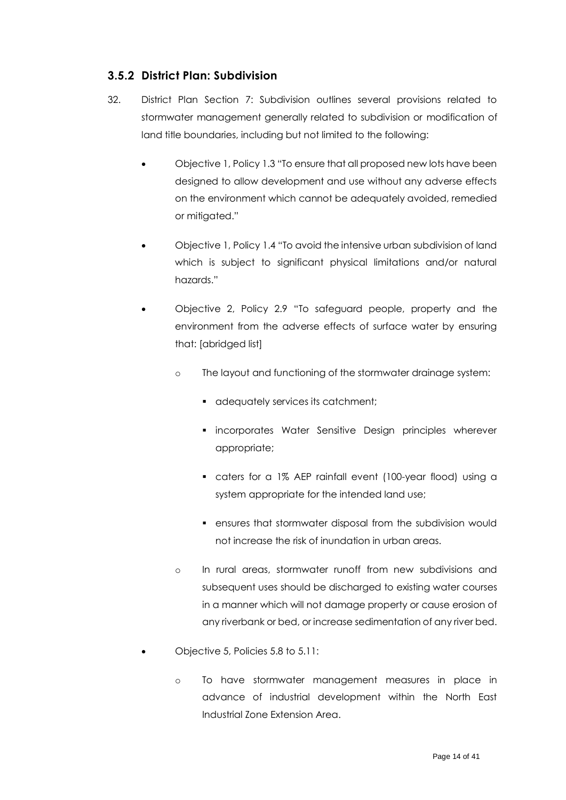#### <span id="page-13-0"></span>**3.5.2 District Plan: Subdivision**

- 32. District Plan Section 7: Subdivision outlines several provisions related to stormwater management generally related to subdivision or modification of land title boundaries, including but not limited to the following:
	- Objective 1, Policy 1.3 "To ensure that all proposed new lots have been designed to allow development and use without any adverse effects on the environment which cannot be adequately avoided, remedied or mitigated."
	- Objective 1, Policy 1.4 "To avoid the intensive urban subdivision of land which is subject to significant physical limitations and/or natural hazards."
	- Objective 2, Policy 2.9 "To safeguard people, property and the environment from the adverse effects of surface water by ensuring that: [abridged list]
		- o The layout and functioning of the stormwater drainage system:
			- adequately services its catchment;
			- **·** incorporates Water Sensitive Design principles wherever appropriate;
			- caters for a 1% AEP rainfall event (100-year flood) using a system appropriate for the intended land use;
			- ensures that stormwater disposal from the subdivision would not increase the risk of inundation in urban areas.
		- o In rural areas, stormwater runoff from new subdivisions and subsequent uses should be discharged to existing water courses in a manner which will not damage property or cause erosion of any riverbank or bed, or increase sedimentation of any river bed.
	- Objective 5, Policies 5.8 to 5.11:
		- o To have stormwater management measures in place in advance of industrial development within the North East Industrial Zone Extension Area.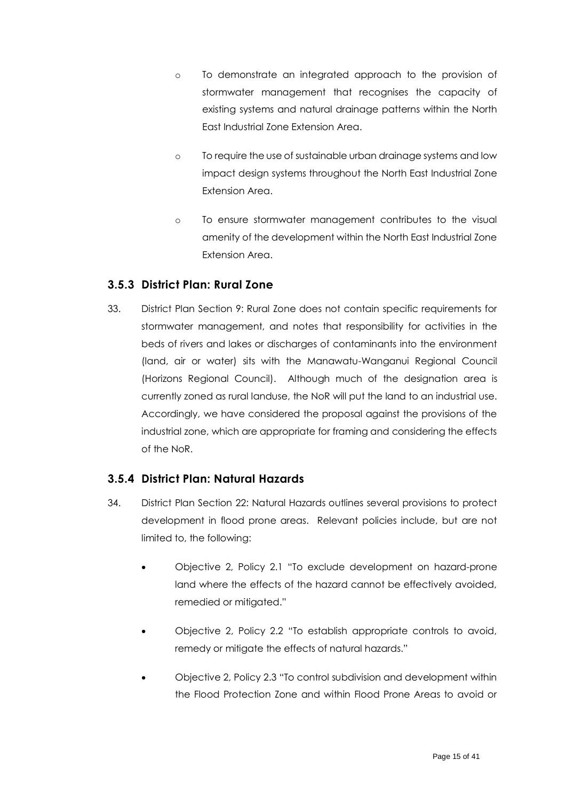- o To demonstrate an integrated approach to the provision of stormwater management that recognises the capacity of existing systems and natural drainage patterns within the North East Industrial Zone Extension Area.
- o To require the use of sustainable urban drainage systems and low impact design systems throughout the North East Industrial Zone Extension Area.
- o To ensure stormwater management contributes to the visual amenity of the development within the North East Industrial Zone Extension Area.

#### <span id="page-14-0"></span>**3.5.3 District Plan: Rural Zone**

33. District Plan Section 9: Rural Zone does not contain specific requirements for stormwater management, and notes that responsibility for activities in the beds of rivers and lakes or discharges of contaminants into the environment (land, air or water) sits with the Manawatu-Wanganui Regional Council (Horizons Regional Council). Although much of the designation area is currently zoned as rural landuse, the NoR will put the land to an industrial use. Accordingly, we have considered the proposal against the provisions of the industrial zone, which are appropriate for framing and considering the effects of the NoR.

#### <span id="page-14-1"></span>**3.5.4 District Plan: Natural Hazards**

- 34. District Plan Section 22: Natural Hazards outlines several provisions to protect development in flood prone areas. Relevant policies include, but are not limited to, the following:
	- Objective 2, Policy 2.1 "To exclude development on hazard-prone land where the effects of the hazard cannot be effectively avoided, remedied or mitigated."
	- Objective 2, Policy 2.2 "To establish appropriate controls to avoid, remedy or mitigate the effects of natural hazards."
	- Objective 2, Policy 2.3 "To control subdivision and development within the Flood Protection Zone and within Flood Prone Areas to avoid or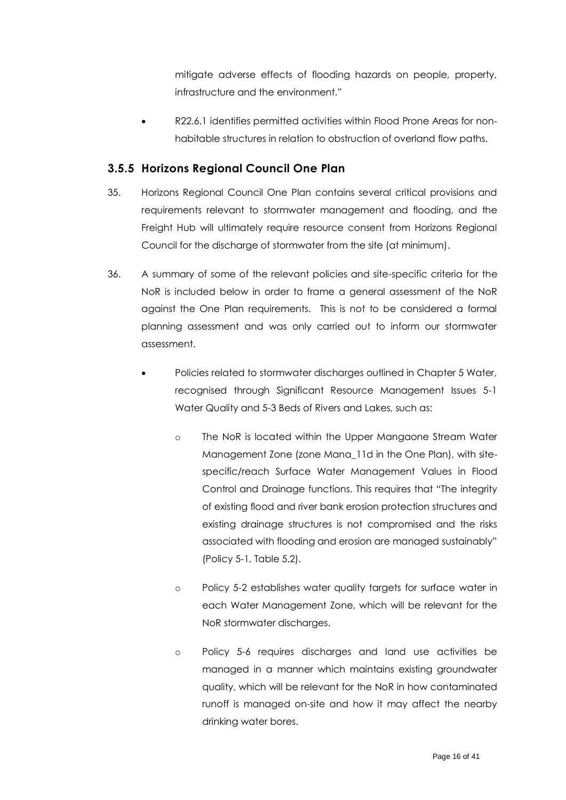mitigate adverse effects of flooding hazards on people, property, infrastructure and the environment."

• R22.6.1 identifies permitted activities within Flood Prone Areas for nonhabitable structures in relation to obstruction of overland flow paths.

#### <span id="page-15-0"></span>**3.5.5 Horizons Regional Council One Plan**

- 35. Horizons Regional Council One Plan contains several critical provisions and requirements relevant to stormwater management and flooding, and the Freight Hub will ultimately require resource consent from Horizons Regional Council for the discharge of stormwater from the site (at minimum).
- <span id="page-15-1"></span>36. A summary of some of the relevant policies and site-specific criteria for the NoR is included below in order to frame a general assessment of the NoR against the One Plan requirements. This is not to be considered a formal planning assessment and was only carried out to inform our stormwater assessment.
	- Policies related to stormwater discharges outlined in Chapter 5 Water, recognised through Significant Resource Management Issues 5-1 Water Quality and 5-3 Beds of Rivers and Lakes, such as:
		- o The NoR is located within the Upper Mangaone Stream Water Management Zone (zone Mana 11d in the One Plan), with sitespecific/reach Surface Water Management Values in Flood Control and Drainage functions. This requires that "The integrity of existing flood and river bank erosion protection structures and existing drainage structures is not compromised and the risks associated with flooding and erosion are managed sustainably" (Policy 5-1, Table 5.2).
		- o Policy 5-2 establishes water quality targets for surface water in each Water Management Zone, which will be relevant for the NoR stormwater discharges.
		- o Policy 5-6 requires discharges and land use activities be managed in a manner which maintains existing groundwater quality, which will be relevant for the NoR in how contaminated runoff is managed on-site and how it may affect the nearby drinking water bores.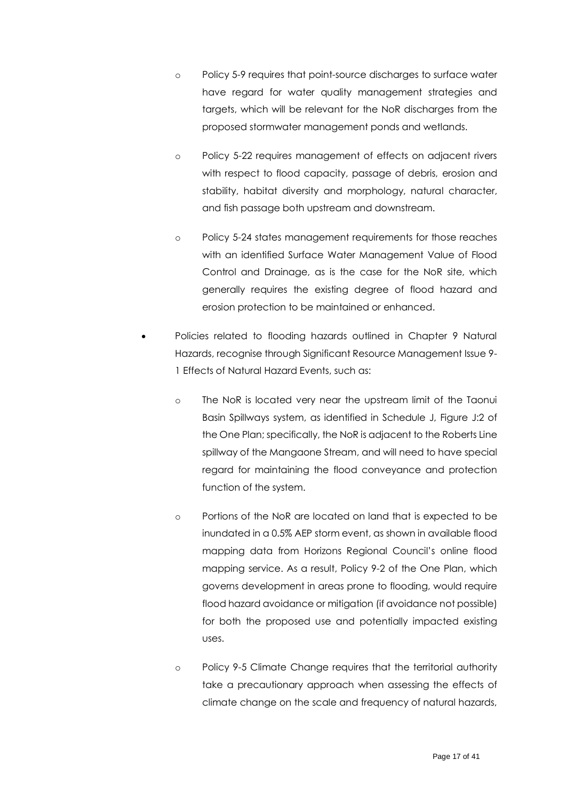- o Policy 5-9 requires that point-source discharges to surface water have regard for water quality management strategies and targets, which will be relevant for the NoR discharges from the proposed stormwater management ponds and wetlands.
- o Policy 5-22 requires management of effects on adjacent rivers with respect to flood capacity, passage of debris, erosion and stability, habitat diversity and morphology, natural character, and fish passage both upstream and downstream.
- o Policy 5-24 states management requirements for those reaches with an identified Surface Water Management Value of Flood Control and Drainage, as is the case for the NoR site, which generally requires the existing degree of flood hazard and erosion protection to be maintained or enhanced.
- Policies related to flooding hazards outlined in Chapter 9 Natural Hazards, recognise through Significant Resource Management Issue 9- 1 Effects of Natural Hazard Events, such as:
	- o The NoR is located very near the upstream limit of the Taonui Basin Spillways system, as identified in Schedule J, Figure J:2 of the One Plan; specifically, the NoR is adjacent to the Roberts Line spillway of the Mangaone Stream, and will need to have special regard for maintaining the flood conveyance and protection function of the system.
	- o Portions of the NoR are located on land that is expected to be inundated in a 0.5% AEP storm event, as shown in available flood mapping data from Horizons Regional Council's online flood mapping service. As a result, Policy 9-2 of the One Plan, which governs development in areas prone to flooding, would require flood hazard avoidance or mitigation (if avoidance not possible) for both the proposed use and potentially impacted existing uses.
	- o Policy 9-5 Climate Change requires that the territorial authority take a precautionary approach when assessing the effects of climate change on the scale and frequency of natural hazards,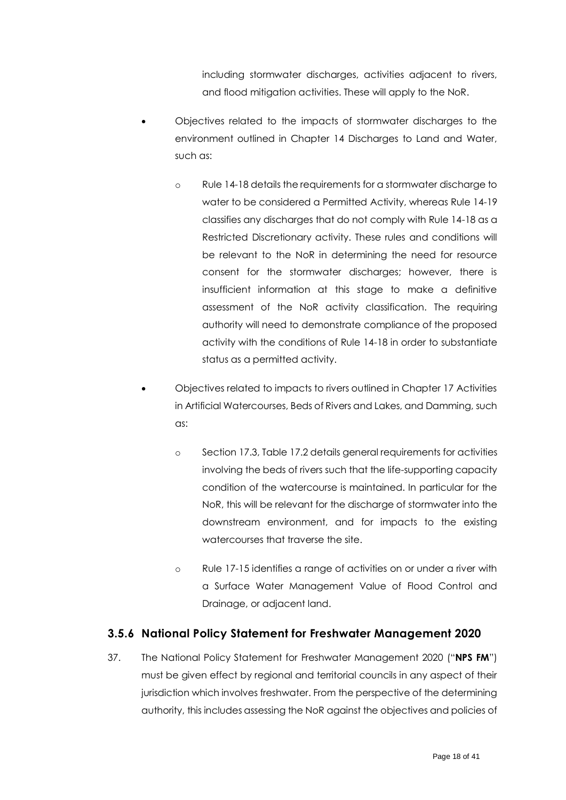including stormwater discharges, activities adjacent to rivers, and flood mitigation activities. These will apply to the NoR.

- Objectives related to the impacts of stormwater discharges to the environment outlined in Chapter 14 Discharges to Land and Water, such as:
	- o Rule 14-18 details the requirements for a stormwater discharge to water to be considered a Permitted Activity, whereas Rule 14-19 classifies any discharges that do not comply with Rule 14-18 as a Restricted Discretionary activity. These rules and conditions will be relevant to the NoR in determining the need for resource consent for the stormwater discharges; however, there is insufficient information at this stage to make a definitive assessment of the NoR activity classification. The requiring authority will need to demonstrate compliance of the proposed activity with the conditions of Rule 14-18 in order to substantiate status as a permitted activity.
- Objectives related to impacts to rivers outlined in Chapter 17 Activities in Artificial Watercourses, Beds of Rivers and Lakes, and Damming, such as:
	- o Section 17.3, Table 17.2 details general requirements for activities involving the beds of rivers such that the life-supporting capacity condition of the watercourse is maintained. In particular for the NoR, this will be relevant for the discharge of stormwater into the downstream environment, and for impacts to the existing watercourses that traverse the site.
	- o Rule 17-15 identifies a range of activities on or under a river with a Surface Water Management Value of Flood Control and Drainage, or adjacent land.

#### <span id="page-17-0"></span>**3.5.6 National Policy Statement for Freshwater Management 2020**

37. The National Policy Statement for Freshwater Management 2020 ("**NPS FM**") must be given effect by regional and territorial councils in any aspect of their jurisdiction which involves freshwater. From the perspective of the determining authority, this includes assessing the NoR against the objectives and policies of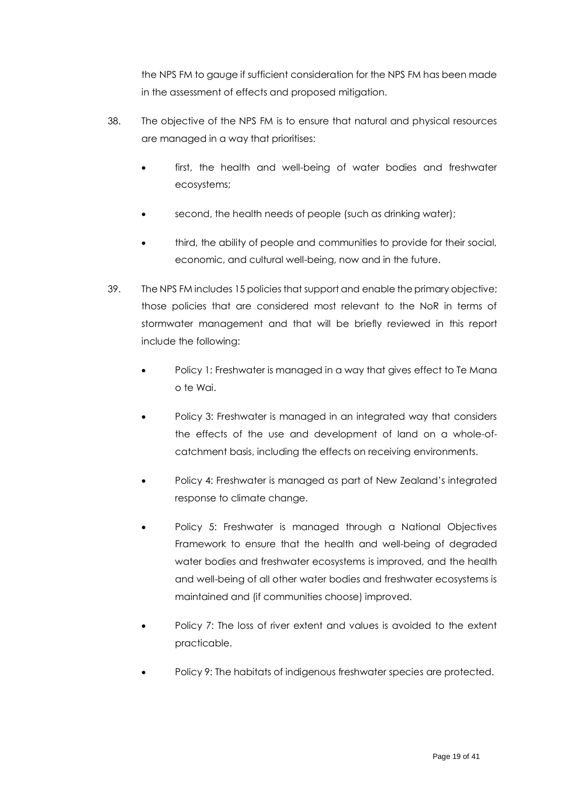the NPS FM to gauge if sufficient consideration for the NPS FM has been made in the assessment of effects and proposed mitigation.

- 38. The objective of the NPS FM is to ensure that natural and physical resources are managed in a way that prioritises:
	- first, the health and well-being of water bodies and freshwater ecosystems;
	- second, the health needs of people (such as drinking water);
	- third, the ability of people and communities to provide for their social, economic, and cultural well-being, now and in the future.
- 39. The NPS FM includes 15 policies that support and enable the primary objective; those policies that are considered most relevant to the NoR in terms of stormwater management and that will be briefly reviewed in this report include the following:
	- Policy 1: Freshwater is managed in a way that gives effect to Te Mana o te Wai.
	- Policy 3: Freshwater is managed in an integrated way that considers the effects of the use and development of land on a whole-ofcatchment basis, including the effects on receiving environments.
	- Policy 4: Freshwater is managed as part of New Zealand's integrated response to climate change.
	- Policy 5: Freshwater is managed through a National Objectives Framework to ensure that the health and well-being of degraded water bodies and freshwater ecosystems is improved, and the health and well-being of all other water bodies and freshwater ecosystems is maintained and (if communities choose) improved.
	- Policy 7: The loss of river extent and values is avoided to the extent practicable.
	- Policy 9: The habitats of indigenous freshwater species are protected.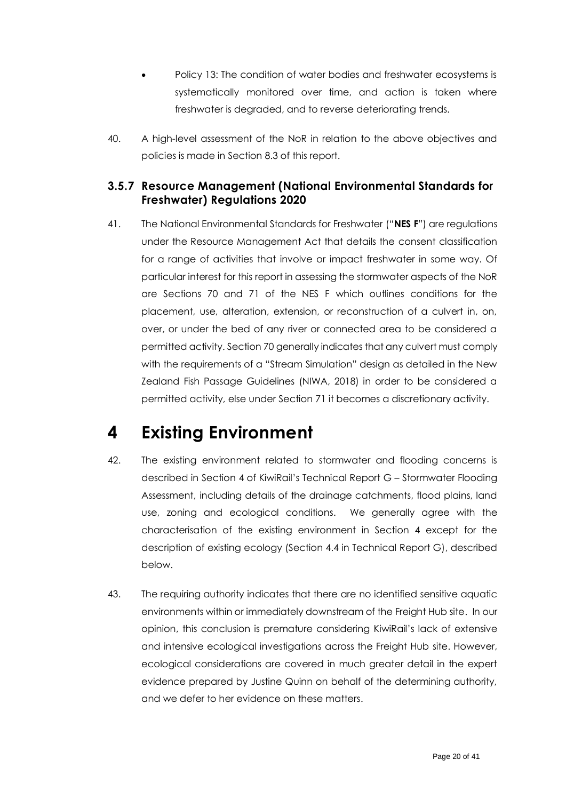- Policy 13: The condition of water bodies and freshwater ecosystems is systematically monitored over time, and action is taken where freshwater is degraded, and to reverse deteriorating trends.
- 40. A high-level assessment of the NoR in relation to the above objectives and policies is made in Section 8.3 of this report.

#### <span id="page-19-0"></span>**3.5.7 Resource Management (National Environmental Standards for Freshwater) Regulations 2020**

41. The National Environmental Standards for Freshwater ("**NES F**") are regulations under the Resource Management Act that details the consent classification for a range of activities that involve or impact freshwater in some way. Of particular interest for this report in assessing the stormwater aspects of the NoR are Sections 70 and 71 of the NES F which outlines conditions for the placement, use, alteration, extension, or reconstruction of a culvert in, on, over, or under the bed of any river or connected area to be considered a permitted activity. Section 70 generally indicates that any culvert must comply with the requirements of a "Stream Simulation" design as detailed in the New Zealand Fish Passage Guidelines (NIWA, 2018) in order to be considered a permitted activity, else under Section 71 it becomes a discretionary activity.

# <span id="page-19-1"></span>**4 Existing Environment**

- 42. The existing environment related to stormwater and flooding concerns is described in Section 4 of KiwiRail's Technical Report G – Stormwater Flooding Assessment, including details of the drainage catchments, flood plains, land use, zoning and ecological conditions. We generally agree with the characterisation of the existing environment in Section 4 except for the description of existing ecology (Section 4.4 in Technical Report G), described below.
- 43. The requiring authority indicates that there are no identified sensitive aquatic environments within or immediately downstream of the Freight Hub site. In our opinion, this conclusion is premature considering KiwiRail's lack of extensive and intensive ecological investigations across the Freight Hub site. However, ecological considerations are covered in much greater detail in the expert evidence prepared by Justine Quinn on behalf of the determining authority, and we defer to her evidence on these matters.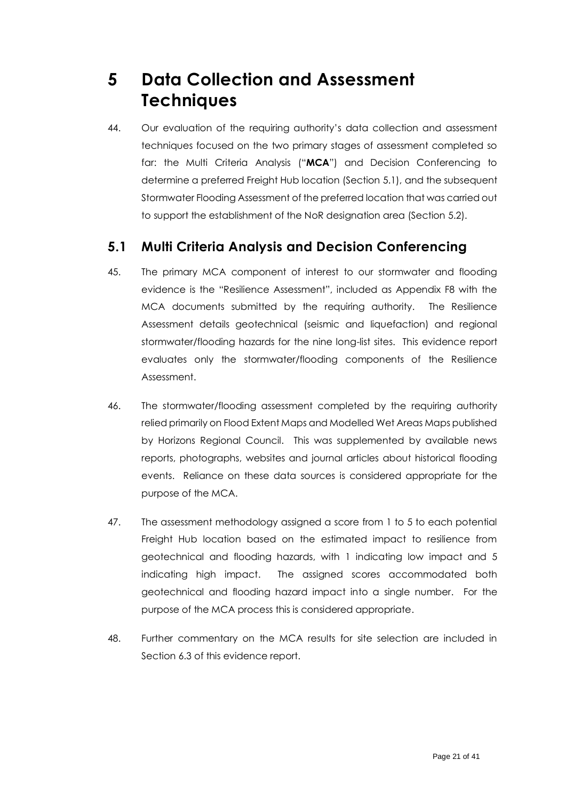## <span id="page-20-0"></span>**5 Data Collection and Assessment Techniques**

44. Our evaluation of the requiring authority's data collection and assessment techniques focused on the two primary stages of assessment completed so far: the Multi Criteria Analysis ("**MCA**") and Decision Conferencing to determine a preferred Freight Hub location (Section [5.1\)](#page-20-1), and the subsequent Stormwater Flooding Assessment of the preferred location that was carried out to support the establishment of the NoR designation area (Section [5.2\)](#page-21-0).

### <span id="page-20-1"></span>**5.1 Multi Criteria Analysis and Decision Conferencing**

- 45. The primary MCA component of interest to our stormwater and flooding evidence is the "Resilience Assessment", included as Appendix F8 with the MCA documents submitted by the requiring authority. The Resilience Assessment details geotechnical (seismic and liquefaction) and regional stormwater/flooding hazards for the nine long-list sites. This evidence report evaluates only the stormwater/flooding components of the Resilience Assessment.
- 46. The stormwater/flooding assessment completed by the requiring authority relied primarily on Flood Extent Maps and Modelled Wet Areas Maps published by Horizons Regional Council. This was supplemented by available news reports, photographs, websites and journal articles about historical flooding events. Reliance on these data sources is considered appropriate for the purpose of the MCA.
- 47. The assessment methodology assigned a score from 1 to 5 to each potential Freight Hub location based on the estimated impact to resilience from geotechnical and flooding hazards, with 1 indicating low impact and 5 indicating high impact. The assigned scores accommodated both geotechnical and flooding hazard impact into a single number. For the purpose of the MCA process this is considered appropriate.
- 48. Further commentary on the MCA results for site selection are included in Sectio[n 6.3](#page-25-0) of this evidence report.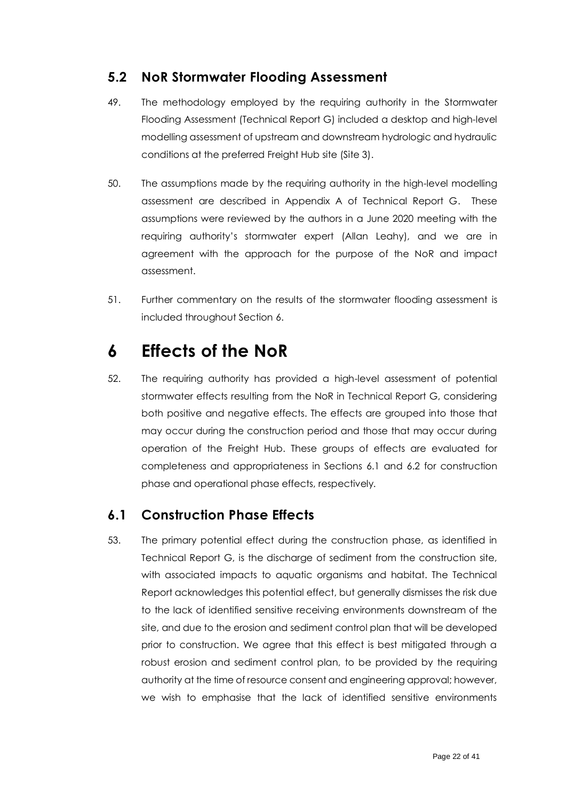#### <span id="page-21-0"></span>**5.2 NoR Stormwater Flooding Assessment**

- 49. The methodology employed by the requiring authority in the Stormwater Flooding Assessment (Technical Report G) included a desktop and high-level modelling assessment of upstream and downstream hydrologic and hydraulic conditions at the preferred Freight Hub site (Site 3).
- 50. The assumptions made by the requiring authority in the high-level modelling assessment are described in Appendix A of Technical Report G. These assumptions were reviewed by the authors in a June 2020 meeting with the requiring authority's stormwater expert (Allan Leahy), and we are in agreement with the approach for the purpose of the NoR and impact assessment.
- 51. Further commentary on the results of the stormwater flooding assessment is included throughout Section [6.](#page-21-1)

## <span id="page-21-1"></span>**6 Effects of the NoR**

52. The requiring authority has provided a high-level assessment of potential stormwater effects resulting from the NoR in Technical Report G, considering both positive and negative effects. The effects are grouped into those that may occur during the construction period and those that may occur during operation of the Freight Hub. These groups of effects are evaluated for completeness and appropriateness in Sections [6.1](#page-21-2) and [6.2](#page-22-0) for construction phase and operational phase effects, respectively.

### <span id="page-21-2"></span>**6.1 Construction Phase Effects**

53. The primary potential effect during the construction phase, as identified in Technical Report G, is the discharge of sediment from the construction site, with associated impacts to aquatic organisms and habitat. The Technical Report acknowledges this potential effect, but generally dismisses the risk due to the lack of identified sensitive receiving environments downstream of the site, and due to the erosion and sediment control plan that will be developed prior to construction. We agree that this effect is best mitigated through a robust erosion and sediment control plan, to be provided by the requiring authority at the time of resource consent and engineering approval; however, we wish to emphasise that the lack of identified sensitive environments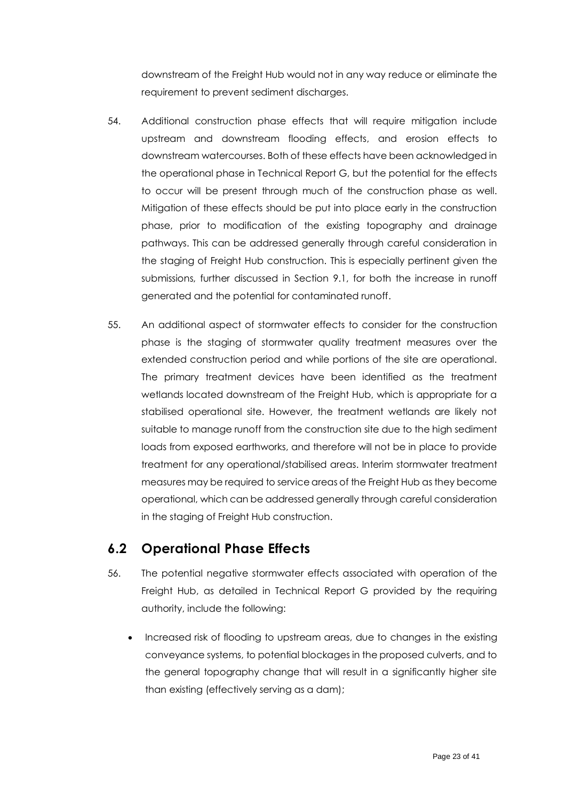downstream of the Freight Hub would not in any way reduce or eliminate the requirement to prevent sediment discharges.

- 54. Additional construction phase effects that will require mitigation include upstream and downstream flooding effects, and erosion effects to downstream watercourses. Both of these effects have been acknowledged in the operational phase in Technical Report G, but the potential for the effects to occur will be present through much of the construction phase as well. Mitigation of these effects should be put into place early in the construction phase, prior to modification of the existing topography and drainage pathways. This can be addressed generally through careful consideration in the staging of Freight Hub construction. This is especially pertinent given the submissions, further discussed in Section [9.1,](#page-35-1) for both the increase in runoff generated and the potential for contaminated runoff.
- 55. An additional aspect of stormwater effects to consider for the construction phase is the staging of stormwater quality treatment measures over the extended construction period and while portions of the site are operational. The primary treatment devices have been identified as the treatment wetlands located downstream of the Freight Hub, which is appropriate for a stabilised operational site. However, the treatment wetlands are likely not suitable to manage runoff from the construction site due to the high sediment loads from exposed earthworks, and therefore will not be in place to provide treatment for any operational/stabilised areas. Interim stormwater treatment measures may be required to service areas of the Freight Hub as they become operational, which can be addressed generally through careful consideration in the staging of Freight Hub construction.

### <span id="page-22-0"></span>**6.2 Operational Phase Effects**

- 56. The potential negative stormwater effects associated with operation of the Freight Hub, as detailed in Technical Report G provided by the requiring authority, include the following:
	- Increased risk of flooding to upstream areas, due to changes in the existing conveyance systems, to potential blockages in the proposed culverts, and to the general topography change that will result in a significantly higher site than existing (effectively serving as a dam);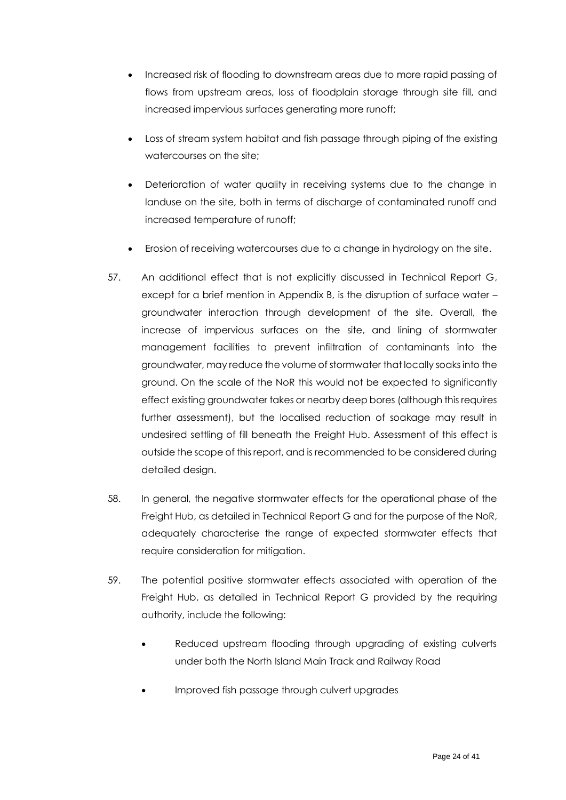- Increased risk of flooding to downstream areas due to more rapid passing of flows from upstream areas, loss of floodplain storage through site fill, and increased impervious surfaces generating more runoff;
- Loss of stream system habitat and fish passage through piping of the existing watercourses on the site;
- Deterioration of water quality in receiving systems due to the change in landuse on the site, both in terms of discharge of contaminated runoff and increased temperature of runoff;
- Erosion of receiving watercourses due to a change in hydrology on the site.
- 57. An additional effect that is not explicitly discussed in Technical Report G, except for a brief mention in Appendix B, is the disruption of surface water – groundwater interaction through development of the site. Overall, the increase of impervious surfaces on the site, and lining of stormwater management facilities to prevent infiltration of contaminants into the groundwater, may reduce the volume of stormwater that locally soaks into the ground. On the scale of the NoR this would not be expected to significantly effect existing groundwater takes or nearby deep bores (although this requires further assessment), but the localised reduction of soakage may result in undesired settling of fill beneath the Freight Hub. Assessment of this effect is outside the scope of this report, and is recommended to be considered during detailed design.
- 58. In general, the negative stormwater effects for the operational phase of the Freight Hub, as detailed in Technical Report G and for the purpose of the NoR, adequately characterise the range of expected stormwater effects that require consideration for mitigation.
- 59. The potential positive stormwater effects associated with operation of the Freight Hub, as detailed in Technical Report G provided by the requiring authority, include the following:
	- Reduced upstream flooding through upgrading of existing culverts under both the North Island Main Track and Railway Road
	- Improved fish passage through culvert upgrades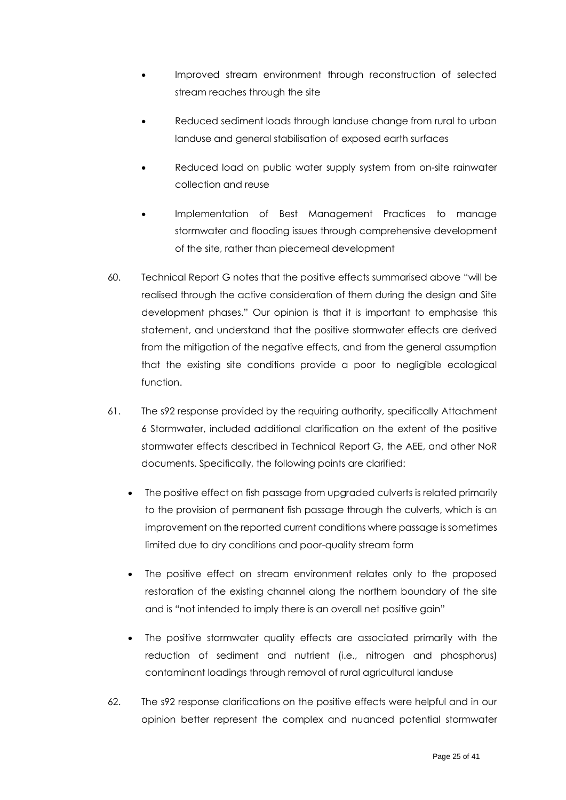- Improved stream environment through reconstruction of selected stream reaches through the site
- Reduced sediment loads through landuse change from rural to urban landuse and general stabilisation of exposed earth surfaces
- Reduced load on public water supply system from on-site rainwater collection and reuse
- Implementation of Best Management Practices to manage stormwater and flooding issues through comprehensive development of the site, rather than piecemeal development
- <span id="page-24-0"></span>60. Technical Report G notes that the positive effects summarised above "will be realised through the active consideration of them during the design and Site development phases." Our opinion is that it is important to emphasise this statement, and understand that the positive stormwater effects are derived from the mitigation of the negative effects, and from the general assumption that the existing site conditions provide a poor to negligible ecological function.
- 61. The s92 response provided by the requiring authority, specifically Attachment 6 Stormwater, included additional clarification on the extent of the positive stormwater effects described in Technical Report G, the AEE, and other NoR documents. Specifically, the following points are clarified:
	- The positive effect on fish passage from upgraded culverts is related primarily to the provision of permanent fish passage through the culverts, which is an improvement on the reported current conditions where passage is sometimes limited due to dry conditions and poor-quality stream form
	- The positive effect on stream environment relates only to the proposed restoration of the existing channel along the northern boundary of the site and is "not intended to imply there is an overall net positive gain"
	- The positive stormwater quality effects are associated primarily with the reduction of sediment and nutrient (i.e., nitrogen and phosphorus) contaminant loadings through removal of rural agricultural landuse
- <span id="page-24-1"></span>62. The s92 response clarifications on the positive effects were helpful and in our opinion better represent the complex and nuanced potential stormwater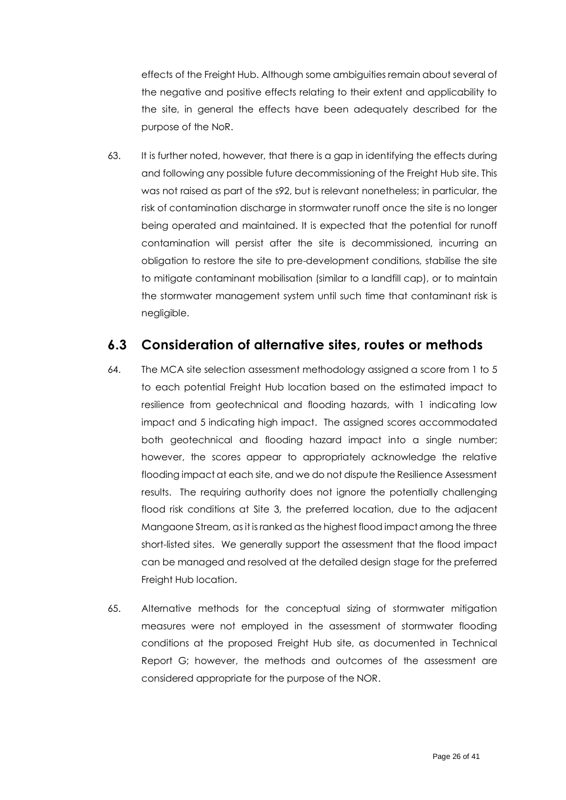effects of the Freight Hub. Although some ambiguities remain about several of the negative and positive effects relating to their extent and applicability to the site, in general the effects have been adequately described for the purpose of the NoR.

63. It is further noted, however, that there is a gap in identifying the effects during and following any possible future decommissioning of the Freight Hub site. This was not raised as part of the s92, but is relevant nonetheless; in particular, the risk of contamination discharge in stormwater runoff once the site is no longer being operated and maintained. It is expected that the potential for runoff contamination will persist after the site is decommissioned, incurring an obligation to restore the site to pre-development conditions, stabilise the site to mitigate contaminant mobilisation (similar to a landfill cap), or to maintain the stormwater management system until such time that contaminant risk is negligible.

#### <span id="page-25-0"></span>**6.3 Consideration of alternative sites, routes or methods**

- 64. The MCA site selection assessment methodology assigned a score from 1 to 5 to each potential Freight Hub location based on the estimated impact to resilience from geotechnical and flooding hazards, with 1 indicating low impact and 5 indicating high impact. The assigned scores accommodated both geotechnical and flooding hazard impact into a single number; however, the scores appear to appropriately acknowledge the relative flooding impact at each site, and we do not dispute the Resilience Assessment results. The requiring authority does not ignore the potentially challenging flood risk conditions at Site 3, the preferred location, due to the adjacent Mangaone Stream, as it is ranked as the highest flood impact among the three short-listed sites. We generally support the assessment that the flood impact can be managed and resolved at the detailed design stage for the preferred Freight Hub location.
- 65. Alternative methods for the conceptual sizing of stormwater mitigation measures were not employed in the assessment of stormwater flooding conditions at the proposed Freight Hub site, as documented in Technical Report G; however, the methods and outcomes of the assessment are considered appropriate for the purpose of the NOR.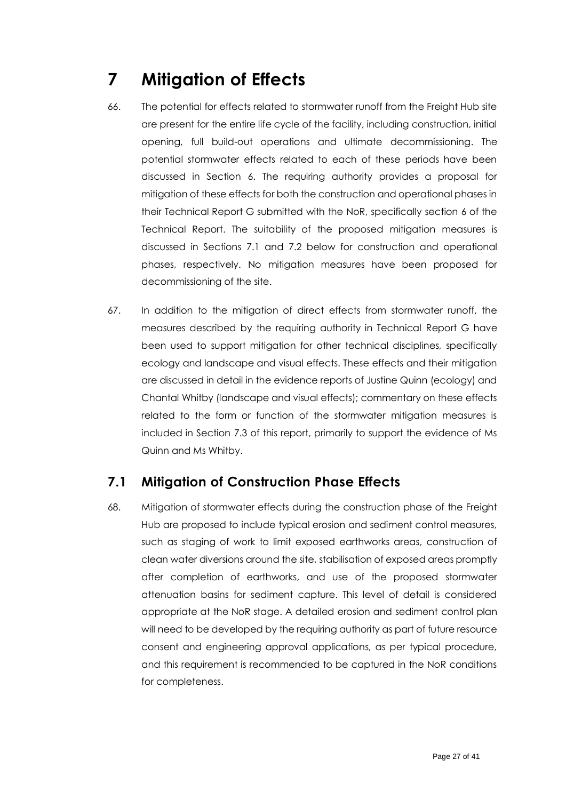# <span id="page-26-0"></span>**7 Mitigation of Effects**

- 66. The potential for effects related to stormwater runoff from the Freight Hub site are present for the entire life cycle of the facility, including construction, initial opening, full build-out operations and ultimate decommissioning. The potential stormwater effects related to each of these periods have been discussed in Section [6.](#page-21-1) The requiring authority provides a proposal for mitigation of these effects for both the construction and operational phases in their Technical Report G submitted with the NoR, specifically section 6 of the Technical Report. The suitability of the proposed mitigation measures is discussed in Sections [7.1](#page-26-1) and [7.2](#page-27-0) below for construction and operational phases, respectively. No mitigation measures have been proposed for decommissioning of the site.
- 67. In addition to the mitigation of direct effects from stormwater runoff, the measures described by the requiring authority in Technical Report G have been used to support mitigation for other technical disciplines, specifically ecology and landscape and visual effects. These effects and their mitigation are discussed in detail in the evidence reports of Justine Quinn (ecology) and Chantal Whitby (landscape and visual effects); commentary on these effects related to the form or function of the stormwater mitigation measures is included in Section 7.3 of this report, primarily to support the evidence of Ms Quinn and Ms Whitby.

### <span id="page-26-1"></span>**7.1 Mitigation of Construction Phase Effects**

68. Mitigation of stormwater effects during the construction phase of the Freight Hub are proposed to include typical erosion and sediment control measures, such as staging of work to limit exposed earthworks areas, construction of clean water diversions around the site, stabilisation of exposed areas promptly after completion of earthworks, and use of the proposed stormwater attenuation basins for sediment capture. This level of detail is considered appropriate at the NoR stage. A detailed erosion and sediment control plan will need to be developed by the requiring authority as part of future resource consent and engineering approval applications, as per typical procedure, and this requirement is recommended to be captured in the NoR conditions for completeness.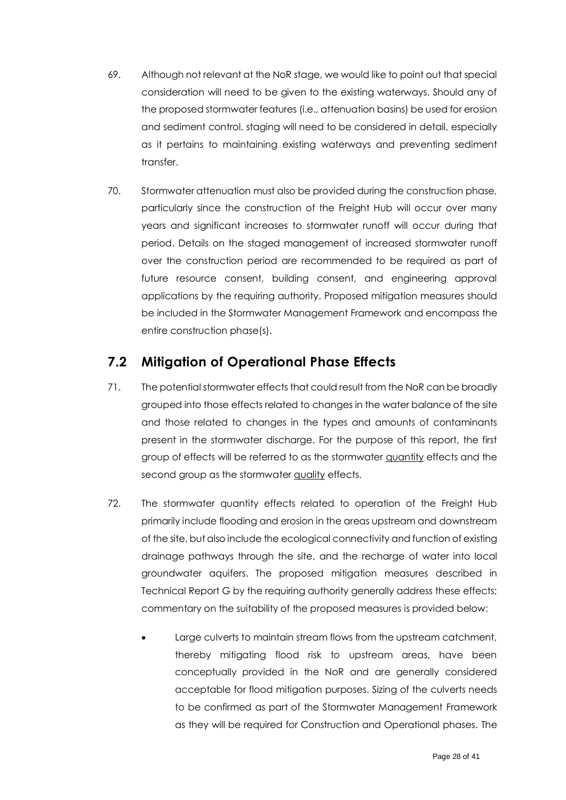- 69. Although not relevant at the NoR stage, we would like to point out that special consideration will need to be given to the existing waterways. Should any of the proposed stormwater features (i.e., attenuation basins) be used for erosion and sediment control, staging will need to be considered in detail, especially as it pertains to maintaining existing waterways and preventing sediment transfer.
- 70. Stormwater attenuation must also be provided during the construction phase, particularly since the construction of the Freight Hub will occur over many years and significant increases to stormwater runoff will occur during that period. Details on the staged management of increased stormwater runoff over the construction period are recommended to be required as part of future resource consent, building consent, and engineering approval applications by the requiring authority. Proposed mitigation measures should be included in the Stormwater Management Framework and encompass the entire construction phase(s).

#### <span id="page-27-0"></span>**7.2 Mitigation of Operational Phase Effects**

- 71. The potential stormwater effects that could result from the NoR can be broadly grouped into those effects related to changes in the water balance of the site and those related to changes in the types and amounts of contaminants present in the stormwater discharge. For the purpose of this report, the first group of effects will be referred to as the stormwater quantity effects and the second group as the stormwater quality effects.
- <span id="page-27-1"></span>72. The stormwater quantity effects related to operation of the Freight Hub primarily include flooding and erosion in the areas upstream and downstream of the site, but also include the ecological connectivity and function of existing drainage pathways through the site, and the recharge of water into local groundwater aquifers. The proposed mitigation measures described in Technical Report G by the requiring authority generally address these effects; commentary on the suitability of the proposed measures is provided below:
	- Large culverts to maintain stream flows from the upstream catchment, thereby mitigating flood risk to upstream areas, have been conceptually provided in the NoR and are generally considered acceptable for flood mitigation purposes. Sizing of the culverts needs to be confirmed as part of the Stormwater Management Framework as they will be required for Construction and Operational phases. The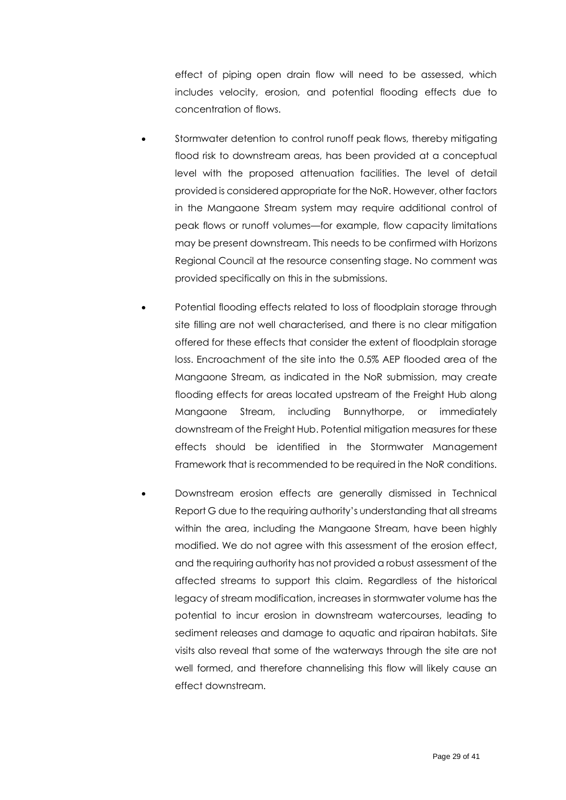effect of piping open drain flow will need to be assessed, which includes velocity, erosion, and potential flooding effects due to concentration of flows.

- Stormwater detention to control runoff peak flows, thereby mitigating flood risk to downstream areas, has been provided at a conceptual level with the proposed attenuation facilities. The level of detail provided is considered appropriate for the NoR. However, other factors in the Mangaone Stream system may require additional control of peak flows or runoff volumes—for example, flow capacity limitations may be present downstream. This needs to be confirmed with Horizons Regional Council at the resource consenting stage. No comment was provided specifically on this in the submissions.
- Potential flooding effects related to loss of floodplain storage through site filling are not well characterised, and there is no clear mitigation offered for these effects that consider the extent of floodplain storage loss. Encroachment of the site into the 0.5% AEP flooded area of the Mangaone Stream, as indicated in the NoR submission, may create flooding effects for areas located upstream of the Freight Hub along Mangaone Stream, including Bunnythorpe, or immediately downstream of the Freight Hub. Potential mitigation measures for these effects should be identified in the Stormwater Management Framework that is recommended to be required in the NoR conditions.
- Downstream erosion effects are generally dismissed in Technical Report G due to the requiring authority's understanding that all streams within the area, including the Mangaone Stream, have been highly modified. We do not agree with this assessment of the erosion effect, and the requiring authority has not provided a robust assessment of the affected streams to support this claim. Regardless of the historical legacy of stream modification, increases in stormwater volume has the potential to incur erosion in downstream watercourses, leading to sediment releases and damage to aquatic and ripairan habitats. Site visits also reveal that some of the waterways through the site are not well formed, and therefore channelising this flow will likely cause an effect downstream.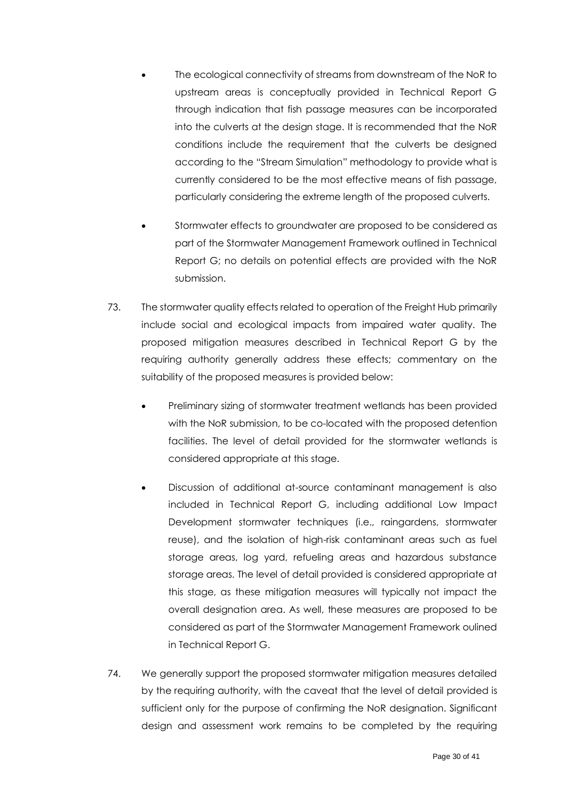- The ecological connectivity of streams from downstream of the NoR to upstream areas is conceptually provided in Technical Report G through indication that fish passage measures can be incorporated into the culverts at the design stage. It is recommended that the NoR conditions include the requirement that the culverts be designed according to the "Stream Simulation" methodology to provide what is currently considered to be the most effective means of fish passage, particularly considering the extreme length of the proposed culverts.
- Stormwater effects to groundwater are proposed to be considered as part of the Stormwater Management Framework outlined in Technical Report G; no details on potential effects are provided with the NoR submission.
- <span id="page-29-0"></span>73. The stormwater quality effects related to operation of the Freight Hub primarily include social and ecological impacts from impaired water quality. The proposed mitigation measures described in Technical Report G by the requiring authority generally address these effects; commentary on the suitability of the proposed measures is provided below:
	- Preliminary sizing of stormwater treatment wetlands has been provided with the NoR submission, to be co-located with the proposed detention facilities. The level of detail provided for the stormwater wetlands is considered appropriate at this stage.
	- Discussion of additional at-source contaminant management is also included in Technical Report G, including additional Low Impact Development stormwater techniques (i.e., raingardens, stormwater reuse), and the isolation of high-risk contaminant areas such as fuel storage areas, log yard, refueling areas and hazardous substance storage areas. The level of detail provided is considered appropriate at this stage, as these mitigation measures will typically not impact the overall designation area. As well, these measures are proposed to be considered as part of the Stormwater Management Framework oulined in Technical Report G.
- 74. We generally support the proposed stormwater mitigation measures detailed by the requiring authority, with the caveat that the level of detail provided is sufficient only for the purpose of confirming the NoR designation. Significant design and assessment work remains to be completed by the requiring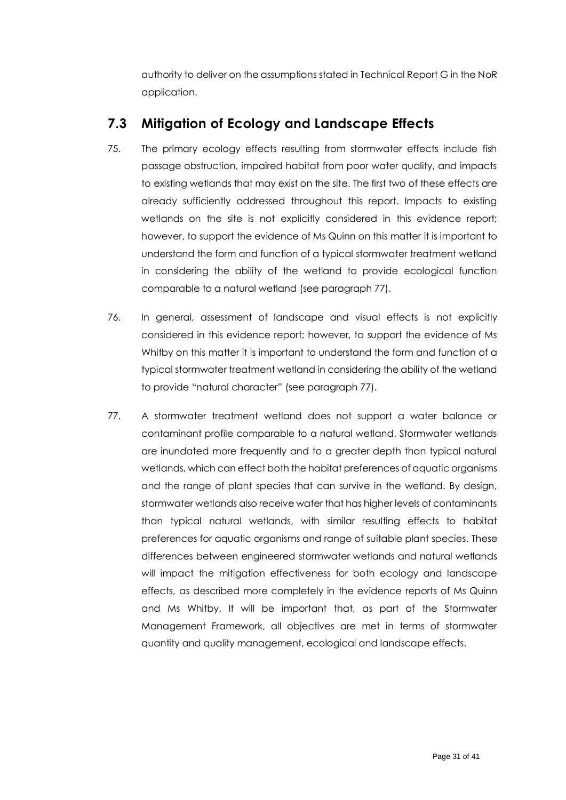authority to deliver on the assumptions stated in Technical Report G in the NoR application.

### <span id="page-30-0"></span>**7.3 Mitigation of Ecology and Landscape Effects**

- 75. The primary ecology effects resulting from stormwater effects include fish passage obstruction, impaired habitat from poor water quality, and impacts to existing wetlands that may exist on the site. The first two of these effects are already sufficiently addressed throughout this report. Impacts to existing wetlands on the site is not explicitly considered in this evidence report; however, to support the evidence of Ms Quinn on this matter it is important to understand the form and function of a typical stormwater treatment wetland in considering the ability of the wetland to provide ecological function comparable to a natural wetland (see paragraph [77\)](#page-30-1).
- 76. In general, assessment of landscape and visual effects is not explicitly considered in this evidence report; however, to support the evidence of Ms Whitby on this matter it is important to understand the form and function of a typical stormwater treatment wetland in considering the ability of the wetland to provide "natural character" (see paragraph [77\)](#page-30-1).
- <span id="page-30-1"></span>77. A stormwater treatment wetland does not support a water balance or contaminant profile comparable to a natural wetland. Stormwater wetlands are inundated more frequently and to a greater depth than typical natural wetlands, which can effect both the habitat preferences of aquatic organisms and the range of plant species that can survive in the wetland. By design, stormwater wetlands also receive water that has higher levels of contaminants than typical natural wetlands, with similar resulting effects to habitat preferences for aquatic organisms and range of suitable plant species. These differences between engineered stormwater wetlands and natural wetlands will impact the mitigation effectiveness for both ecology and landscape effects, as described more completely in the evidence reports of Ms Quinn and Ms Whitby. It will be important that, as part of the Stormwater Management Framework, all objectives are met in terms of stormwater quantity and quality management, ecological and landscape effects.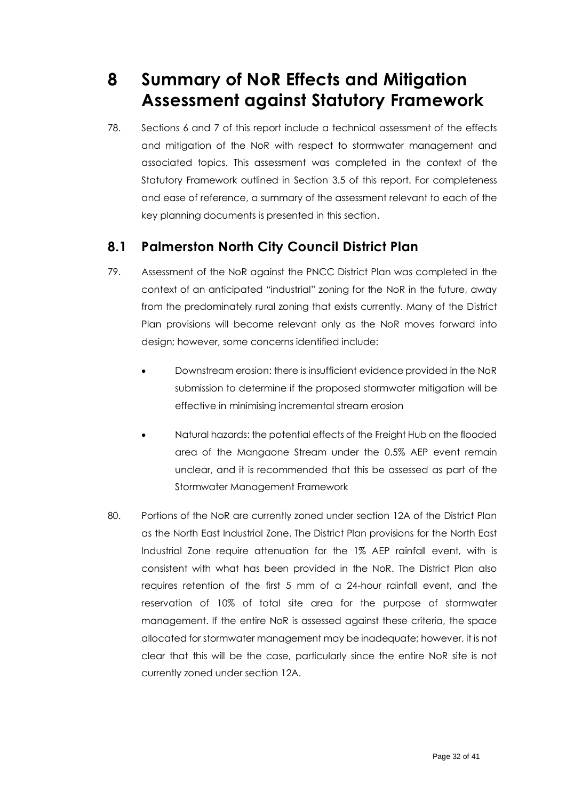## <span id="page-31-0"></span>**8 Summary of NoR Effects and Mitigation Assessment against Statutory Framework**

78. Sections 6 and 7 of this report include a technical assessment of the effects and mitigation of the NoR with respect to stormwater management and associated topics. This assessment was completed in the context of the Statutory Framework outlined in Section 3.5 of this report. For completeness and ease of reference, a summary of the assessment relevant to each of the key planning documents is presented in this section.

### <span id="page-31-1"></span>**8.1 Palmerston North City Council District Plan**

- 79. Assessment of the NoR against the PNCC District Plan was completed in the context of an anticipated "industrial" zoning for the NoR in the future, away from the predominately rural zoning that exists currently. Many of the District Plan provisions will become relevant only as the NoR moves forward into design; however, some concerns identified include:
	- Downstream erosion: there is insufficient evidence provided in the NoR submission to determine if the proposed stormwater mitigation will be effective in minimising incremental stream erosion
	- Natural hazards: the potential effects of the Freight Hub on the flooded area of the Mangaone Stream under the 0.5% AEP event remain unclear, and it is recommended that this be assessed as part of the Stormwater Management Framework
- 80. Portions of the NoR are currently zoned under section 12A of the District Plan as the North East Industrial Zone. The District Plan provisions for the North East Industrial Zone require attenuation for the 1% AEP rainfall event, with is consistent with what has been provided in the NoR. The District Plan also requires retention of the first 5 mm of a 24-hour rainfall event, and the reservation of 10% of total site area for the purpose of stormwater management. If the entire NoR is assessed against these criteria, the space allocated for stormwater management may be inadequate; however, it is not clear that this will be the case, particularly since the entire NoR site is not currently zoned under section 12A.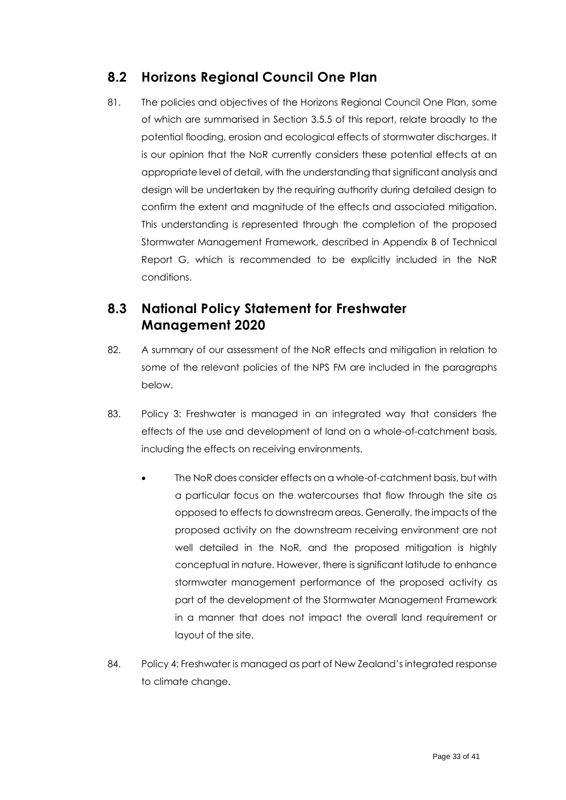### <span id="page-32-0"></span>**8.2 Horizons Regional Council One Plan**

81. The policies and objectives of the Horizons Regional Council One Plan, some of which are summarised in Section [3.5.5](#page-15-0) of this report, relate broadly to the potential flooding, erosion and ecological effects of stormwater discharges. It is our opinion that the NoR currently considers these potential effects at an appropriate level of detail, with the understanding that significant analysis and design will be undertaken by the requiring authority during detailed design to confirm the extent and magnitude of the effects and associated mitigation. This understanding is represented through the completion of the proposed Stormwater Management Framework, described in Appendix B of Technical Report G, which is recommended to be explicitly included in the NoR conditions.

### <span id="page-32-1"></span>**8.3 National Policy Statement for Freshwater Management 2020**

- 82. A summary of our assessment of the NoR effects and mitigation in relation to some of the relevant policies of the NPS FM are included in the paragraphs below.
- 83. Policy 3: Freshwater is managed in an integrated way that considers the effects of the use and development of land on a whole-of-catchment basis, including the effects on receiving environments.
	- The NoR does consider effects on a whole-of-catchment basis, but with a particular focus on the watercourses that flow through the site as opposed to effects to downstream areas. Generally, the impacts of the proposed activity on the downstream receiving environment are not well detailed in the NoR, and the proposed mitigation is highly conceptual in nature. However, there is significant latitude to enhance stormwater management performance of the proposed activity as part of the development of the Stormwater Management Framework in a manner that does not impact the overall land requirement or layout of the site.
- 84. Policy 4: Freshwater is managed as part of New Zealand's integrated response to climate change.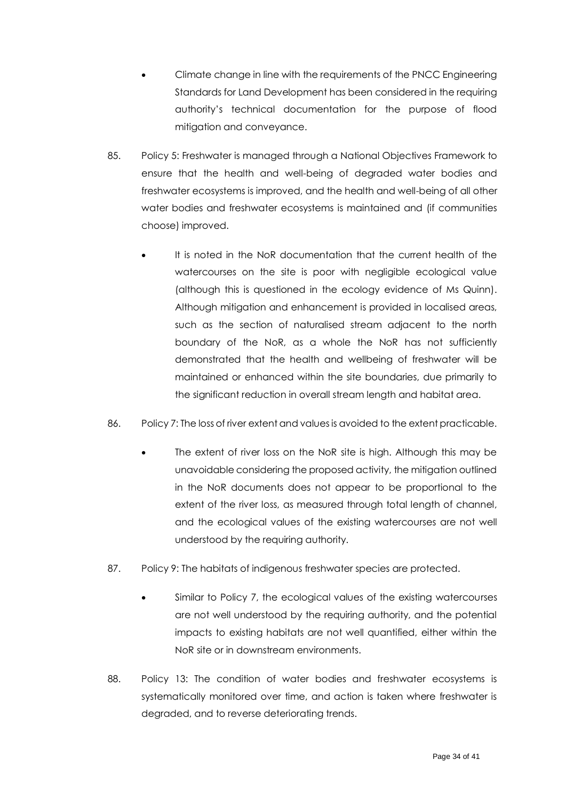- Climate change in line with the requirements of the PNCC Engineering Standards for Land Development has been considered in the requiring authority's technical documentation for the purpose of flood mitigation and conveyance.
- 85. Policy 5: Freshwater is managed through a National Objectives Framework to ensure that the health and well-being of degraded water bodies and freshwater ecosystems is improved, and the health and well-being of all other water bodies and freshwater ecosystems is maintained and (if communities choose) improved.
	- It is noted in the NoR documentation that the current health of the watercourses on the site is poor with negligible ecological value (although this is questioned in the ecology evidence of Ms Quinn). Although mitigation and enhancement is provided in localised areas, such as the section of naturalised stream adjacent to the north boundary of the NoR, as a whole the NoR has not sufficiently demonstrated that the health and wellbeing of freshwater will be maintained or enhanced within the site boundaries, due primarily to the significant reduction in overall stream length and habitat area.
- 86. Policy 7: The loss of river extent and values is avoided to the extent practicable.
	- The extent of river loss on the NoR site is high. Although this may be unavoidable considering the proposed activity, the mitigation outlined in the NoR documents does not appear to be proportional to the extent of the river loss, as measured through total length of channel, and the ecological values of the existing watercourses are not well understood by the requiring authority.
- 87. Policy 9: The habitats of indigenous freshwater species are protected.
	- Similar to Policy 7, the ecological values of the existing watercourses are not well understood by the requiring authority, and the potential impacts to existing habitats are not well quantified, either within the NoR site or in downstream environments.
- 88. Policy 13: The condition of water bodies and freshwater ecosystems is systematically monitored over time, and action is taken where freshwater is degraded, and to reverse deteriorating trends.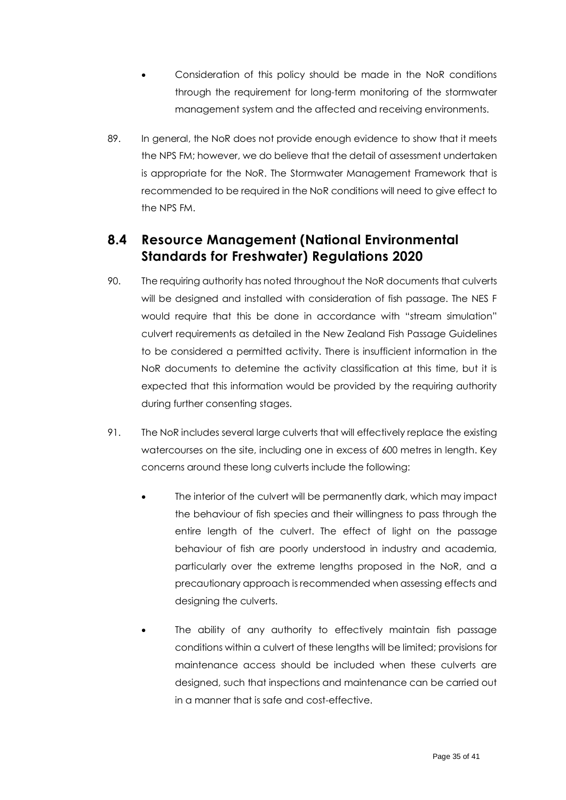- Consideration of this policy should be made in the NoR conditions through the requirement for long-term monitoring of the stormwater management system and the affected and receiving environments.
- 89. In general, the NoR does not provide enough evidence to show that it meets the NPS FM; however, we do believe that the detail of assessment undertaken is appropriate for the NoR. The Stormwater Management Framework that is recommended to be required in the NoR conditions will need to give effect to the NPS FM.

### <span id="page-34-0"></span>**8.4 Resource Management (National Environmental Standards for Freshwater) Regulations 2020**

- 90. The requiring authority has noted throughout the NoR documents that culverts will be designed and installed with consideration of fish passage. The NES F would require that this be done in accordance with "stream simulation" culvert requirements as detailed in the New Zealand Fish Passage Guidelines to be considered a permitted activity. There is insufficient information in the NoR documents to detemine the activity classification at this time, but it is expected that this information would be provided by the requiring authority during further consenting stages.
- 91. The NoR includes several large culverts that will effectively replace the existing watercourses on the site, including one in excess of 600 metres in length. Key concerns around these long culverts include the following:
	- The interior of the culvert will be permanently dark, which may impact the behaviour of fish species and their willingness to pass through the entire length of the culvert. The effect of light on the passage behaviour of fish are poorly understood in industry and academia, particularly over the extreme lengths proposed in the NoR, and a precautionary approach is recommended when assessing effects and designing the culverts.
	- The ability of any authority to effectively maintain fish passage conditions within a culvert of these lengths will be limited; provisions for maintenance access should be included when these culverts are designed, such that inspections and maintenance can be carried out in a manner that is safe and cost-effective.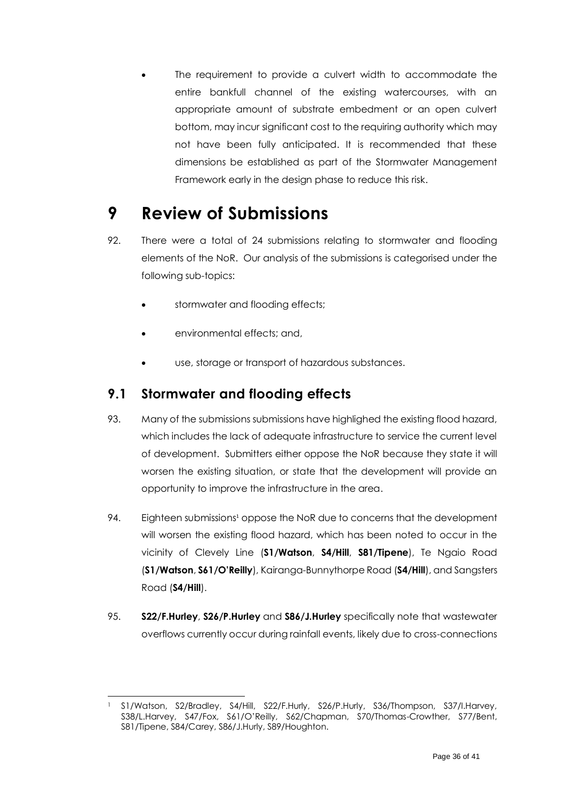The requirement to provide a culvert width to accommodate the entire bankfull channel of the existing watercourses, with an appropriate amount of substrate embedment or an open culvert bottom, may incur significant cost to the requiring authority which may not have been fully anticipated. It is recommended that these dimensions be established as part of the Stormwater Management Framework early in the design phase to reduce this risk.

## <span id="page-35-0"></span>**9 Review of Submissions**

- 92. There were a total of 24 submissions relating to stormwater and flooding elements of the NoR. Our analysis of the submissions is categorised under the following sub-topics:
	- stormwater and flooding effects;
	- environmental effects; and,
	- use, storage or transport of hazardous substances.

### <span id="page-35-1"></span>**9.1 Stormwater and flooding effects**

- 93. Many of the submissions submissions have highlighed the existing flood hazard, which includes the lack of adequate infrastructure to service the current level of development. Submitters either oppose the NoR because they state it will worsen the existing situation, or state that the development will provide an opportunity to improve the infrastructure in the area.
- 94. Eighteen submissions<sup>1</sup> oppose the NoR due to concerns that the development will worsen the existing flood hazard, which has been noted to occur in the vicinity of Clevely Line (**S1/Watson**, **S4/Hill**, **S81/Tipene**), Te Ngaio Road (**S1/Watson**, **S61/O'Reilly**), Kairanga-Bunnythorpe Road (**S4/Hill**), and Sangsters Road (**S4/Hill**).
- 95. **S22/F.Hurley**, **S26/P.Hurley** and **S86/J.Hurley** specifically note that wastewater overflows currently occur during rainfall events, likely due to cross-connections

<sup>1</sup> S1/Watson, S2/Bradley, S4/Hill, S22/F.Hurly, S26/P.Hurly, S36/Thompson, S37/I.Harvey, S38/L.Harvey, S47/Fox, S61/O'Reilly, S62/Chapman, S70/Thomas-Crowther, S77/Bent, S81/Tipene, S84/Carey, S86/J.Hurly, S89/Houghton.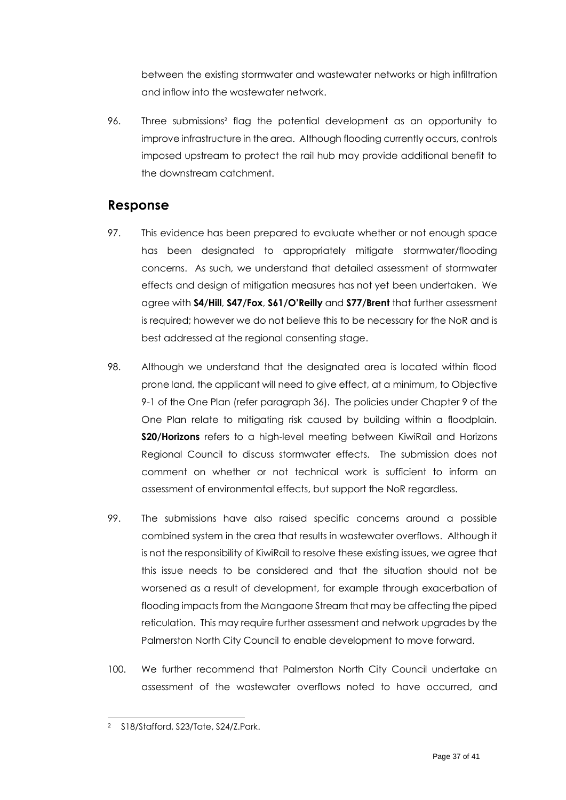between the existing stormwater and wastewater networks or high infiltration and inflow into the wastewater network.

96. Three submissions<sup>2</sup> flag the potential development as an opportunity to improve infrastructure in the area. Although flooding currently occurs, controls imposed upstream to protect the rail hub may provide additional benefit to the downstream catchment.

#### **Response**

- 97. This evidence has been prepared to evaluate whether or not enough space has been designated to appropriately mitigate stormwater/flooding concerns. As such, we understand that detailed assessment of stormwater effects and design of mitigation measures has not yet been undertaken. We agree with **S4/Hill**, **S47/Fox**, **S61/O'Reilly** and **S77/Brent** that further assessment is required; however we do not believe this to be necessary for the NoR and is best addressed at the regional consenting stage.
- 98. Although we understand that the designated area is located within flood prone land, the applicant will need to give effect, at a minimum, to Objective 9-1 of the One Plan (refer paragraph [36\)](#page-15-1). The policies under Chapter 9 of the One Plan relate to mitigating risk caused by building within a floodplain. **S20/Horizons** refers to a high-level meeting between KiwiRail and Horizons Regional Council to discuss stormwater effects. The submission does not comment on whether or not technical work is sufficient to inform an assessment of environmental effects, but support the NoR regardless.
- 99. The submissions have also raised specific concerns around a possible combined system in the area that results in wastewater overflows. Although it is not the responsibility of KiwiRail to resolve these existing issues, we agree that this issue needs to be considered and that the situation should not be worsened as a result of development, for example through exacerbation of flooding impacts from the Mangaone Stream that may be affecting the piped reticulation. This may require further assessment and network upgrades by the Palmerston North City Council to enable development to move forward.
- 100. We further recommend that Palmerston North City Council undertake an assessment of the wastewater overflows noted to have occurred, and

<sup>2</sup> S18/Stafford, S23/Tate, S24/Z.Park.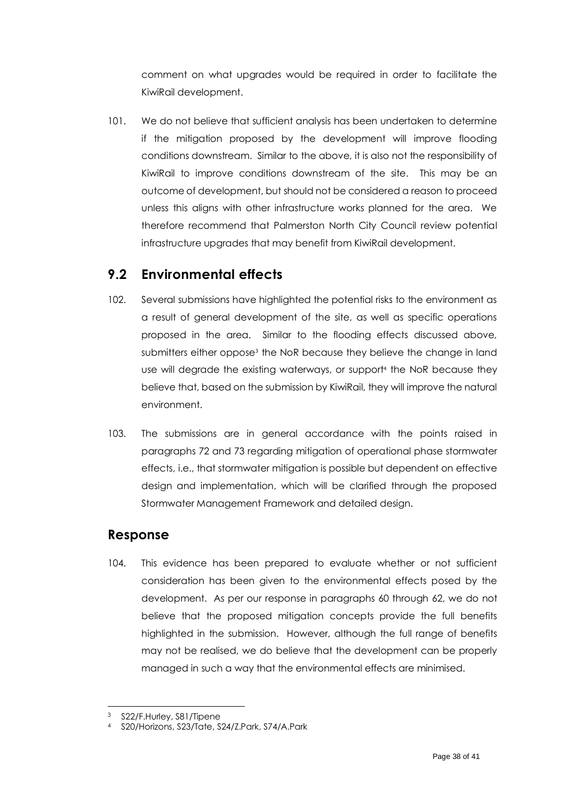comment on what upgrades would be required in order to facilitate the KiwiRail development.

101. We do not believe that sufficient analysis has been undertaken to determine if the mitigation proposed by the development will improve flooding conditions downstream. Similar to the above, it is also not the responsibility of KiwiRail to improve conditions downstream of the site. This may be an outcome of development, but should not be considered a reason to proceed unless this aligns with other infrastructure works planned for the area. We therefore recommend that Palmerston North City Council review potential infrastructure upgrades that may benefit from KiwiRail development.

#### <span id="page-37-0"></span>**9.2 Environmental effects**

- 102. Several submissions have highlighted the potential risks to the environment as a result of general development of the site, as well as specific operations proposed in the area. Similar to the flooding effects discussed above, submitters either oppose<sup>3</sup> the NoR because they believe the change in land use will degrade the existing waterways, or support<sup>4</sup> the NoR because they believe that, based on the submission by KiwiRail, they will improve the natural environment.
- 103. The submissions are in general accordance with the points raised in paragraphs [72](#page-27-1) and [73](#page-29-0) regarding mitigation of operational phase stormwater effects, i.e., that stormwater mitigation is possible but dependent on effective design and implementation, which will be clarified through the proposed Stormwater Management Framework and detailed design.

#### **Response**

104. This evidence has been prepared to evaluate whether or not sufficient consideration has been given to the environmental effects posed by the development. As per our response in paragraphs [60](#page-24-0) through [62,](#page-24-1) we do not believe that the proposed mitigation concepts provide the full benefits highlighted in the submission. However, although the full range of benefits may not be realised, we do believe that the development can be properly managed in such a way that the environmental effects are minimised.

<sup>3</sup> S22/F.Hurley, S81/Tipene

<sup>4</sup> S20/Horizons, S23/Tate, S24/Z.Park, S74/A.Park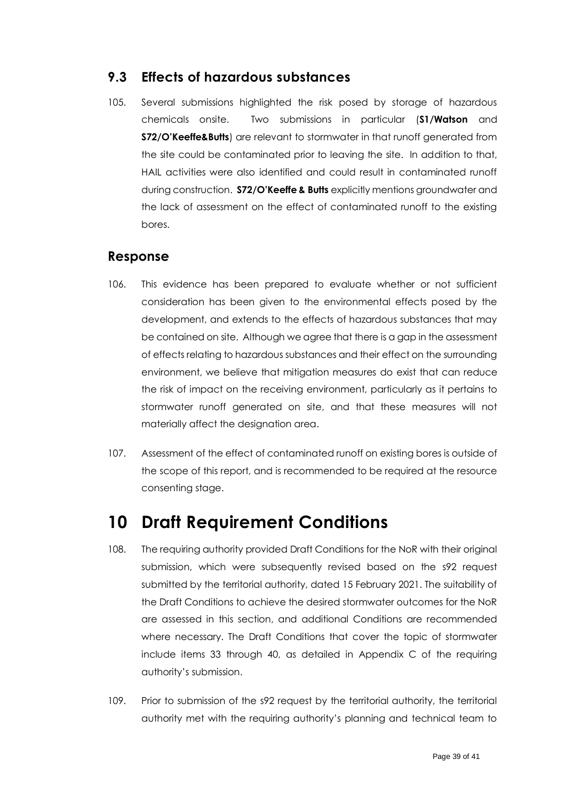#### <span id="page-38-0"></span>**9.3 Effects of hazardous substances**

105. Several submissions highlighted the risk posed by storage of hazardous chemicals onsite. Two submissions in particular (**S1/Watson** and **S72/O'Keeffe&Butts**) are relevant to stormwater in that runoff generated from the site could be contaminated prior to leaving the site. In addition to that, HAIL activities were also identified and could result in contaminated runoff during construction. **S72/O'Keeffe & Butts** explicitly mentions groundwater and the lack of assessment on the effect of contaminated runoff to the existing bores.

#### **Response**

- 106. This evidence has been prepared to evaluate whether or not sufficient consideration has been given to the environmental effects posed by the development, and extends to the effects of hazardous substances that may be contained on site. Although we agree that there is a gap in the assessment of effects relating to hazardous substances and their effect on the surrounding environment, we believe that mitigation measures do exist that can reduce the risk of impact on the receiving environment, particularly as it pertains to stormwater runoff generated on site, and that these measures will not materially affect the designation area.
- 107. Assessment of the effect of contaminated runoff on existing bores is outside of the scope of this report, and is recommended to be required at the resource consenting stage.

## <span id="page-38-1"></span>**10 Draft Requirement Conditions**

- 108. The requiring authority provided Draft Conditions for the NoR with their original submission, which were subsequently revised based on the s92 request submitted by the territorial authority, dated 15 February 2021. The suitability of the Draft Conditions to achieve the desired stormwater outcomes for the NoR are assessed in this section, and additional Conditions are recommended where necessary. The Draft Conditions that cover the topic of stormwater include items 33 through 40, as detailed in Appendix C of the requiring authority's submission.
- 109. Prior to submission of the s92 request by the territorial authority, the territorial authority met with the requiring authority's planning and technical team to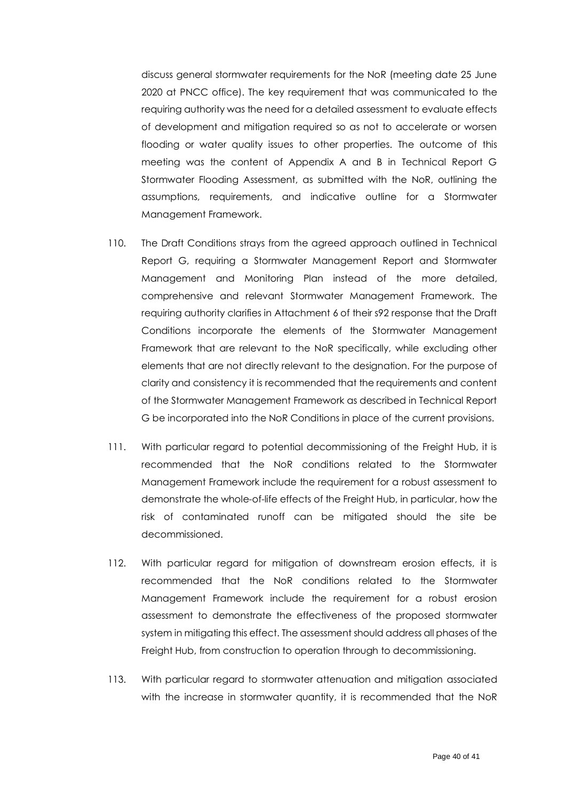discuss general stormwater requirements for the NoR (meeting date 25 June 2020 at PNCC office). The key requirement that was communicated to the requiring authority was the need for a detailed assessment to evaluate effects of development and mitigation required so as not to accelerate or worsen flooding or water quality issues to other properties. The outcome of this meeting was the content of Appendix A and B in Technical Report G Stormwater Flooding Assessment, as submitted with the NoR, outlining the assumptions, requirements, and indicative outline for a Stormwater Management Framework.

- 110. The Draft Conditions strays from the agreed approach outlined in Technical Report G, requiring a Stormwater Management Report and Stormwater Management and Monitoring Plan instead of the more detailed, comprehensive and relevant Stormwater Management Framework. The requiring authority clarifies in Attachment 6 of their s92 response that the Draft Conditions incorporate the elements of the Stormwater Management Framework that are relevant to the NoR specifically, while excluding other elements that are not directly relevant to the designation. For the purpose of clarity and consistency it is recommended that the requirements and content of the Stormwater Management Framework as described in Technical Report G be incorporated into the NoR Conditions in place of the current provisions.
- 111. With particular regard to potential decommissioning of the Freight Hub, it is recommended that the NoR conditions related to the Stormwater Management Framework include the requirement for a robust assessment to demonstrate the whole-of-life effects of the Freight Hub, in particular, how the risk of contaminated runoff can be mitigated should the site be decommissioned.
- 112. With particular regard for mitigation of downstream erosion effects, it is recommended that the NoR conditions related to the Stormwater Management Framework include the requirement for a robust erosion assessment to demonstrate the effectiveness of the proposed stormwater system in mitigating this effect. The assessment should address all phases of the Freight Hub, from construction to operation through to decommissioning.
- 113. With particular regard to stormwater attenuation and mitigation associated with the increase in stormwater quantity, it is recommended that the NoR